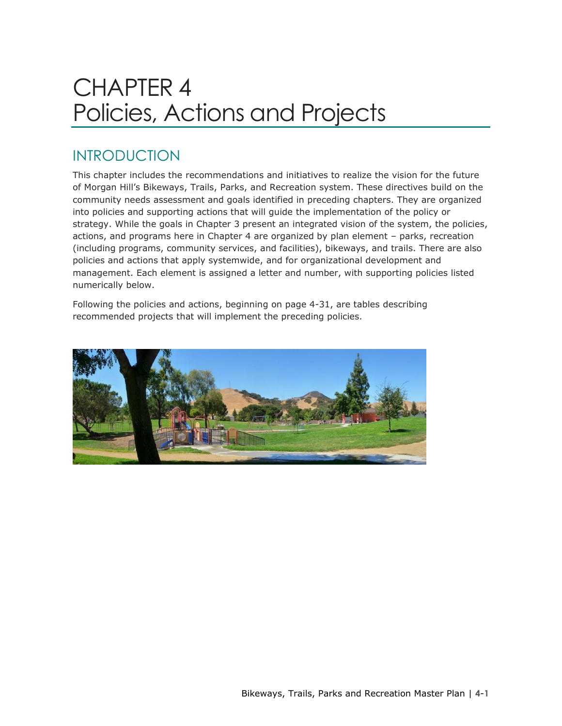# CHAPTER 4 Policies, Actions and Projects

# INTRODUCTION

This chapter includes the recommendations and initiatives to realize the vision for the future of Morgan Hill's Bikeways, Trails, Parks, and Recreation system. These directives build on the community needs assessment and goals identified in preceding chapters. They are organized into policies and supporting actions that will guide the implementation of the policy or strategy. While the goals in Chapter 3 present an integrated vision of the system, the policies, actions, and programs here in Chapter 4 are organized by plan element – parks, recreation (including programs, community services, and facilities), bikeways, and trails. There are also policies and actions that apply systemwide, and for organizational development and management. Each element is assigned a letter and number, with supporting policies listed numerically below.

Following the policies and actions, beginning on page 4-31, are tables describing recommended projects that will implement the preceding policies.

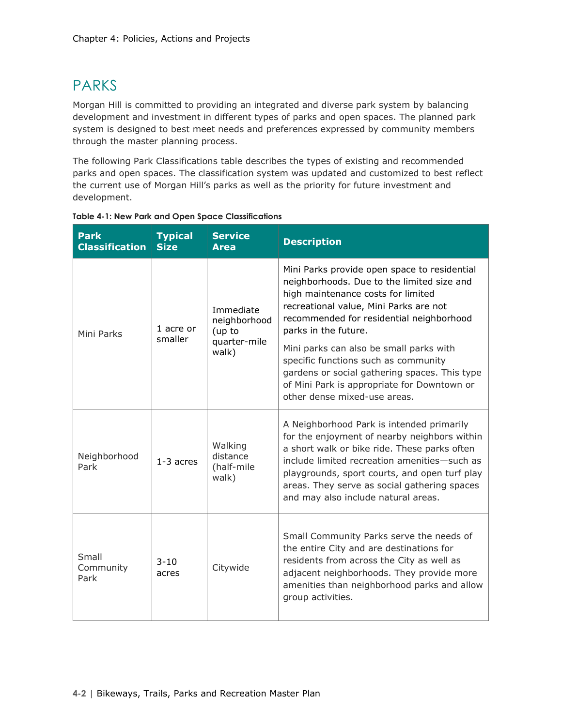# PARKS

Morgan Hill is committed to providing an integrated and diverse park system by balancing development and investment in different types of parks and open spaces. The planned park system is designed to best meet needs and preferences expressed by community members through the master planning process.

The following Park Classifications table describes the types of existing and recommended parks and open spaces. The classification system was updated and customized to best reflect the current use of Morgan Hill's parks as well as the priority for future investment and development.

| <b>Park</b><br><b>Classification</b> | <b>Typical</b><br><b>Size</b> | <b>Service</b><br><b>Area</b>                                | <b>Description</b>                                                                                                                                                                                                                                                                                                                |
|--------------------------------------|-------------------------------|--------------------------------------------------------------|-----------------------------------------------------------------------------------------------------------------------------------------------------------------------------------------------------------------------------------------------------------------------------------------------------------------------------------|
| Mini Parks                           | 1 acre or<br>smaller          | Immediate<br>neighborhood<br>(up to<br>quarter-mile<br>walk) | Mini Parks provide open space to residential<br>neighborhoods. Due to the limited size and<br>high maintenance costs for limited<br>recreational value, Mini Parks are not<br>recommended for residential neighborhood<br>parks in the future.                                                                                    |
|                                      |                               |                                                              | Mini parks can also be small parks with<br>specific functions such as community<br>gardens or social gathering spaces. This type<br>of Mini Park is appropriate for Downtown or<br>other dense mixed-use areas.                                                                                                                   |
| Neighborhood<br>Park                 | $1-3$ acres                   | Walking<br>distance<br>(half-mile<br>walk)                   | A Neighborhood Park is intended primarily<br>for the enjoyment of nearby neighbors within<br>a short walk or bike ride. These parks often<br>include limited recreation amenities-such as<br>playgrounds, sport courts, and open turf play<br>areas. They serve as social gathering spaces<br>and may also include natural areas. |
| Small<br>Community<br>Park           | $3 - 10$<br>acres             | Citywide                                                     | Small Community Parks serve the needs of<br>the entire City and are destinations for<br>residents from across the City as well as<br>adjacent neighborhoods. They provide more<br>amenities than neighborhood parks and allow<br>group activities.                                                                                |

**Table 4-1: New Park and Open Space Classifications**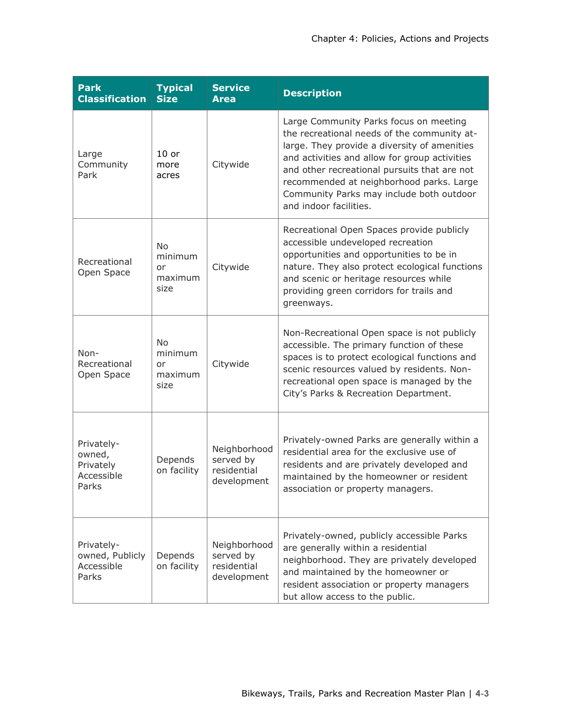| <b>Park</b><br><b>Classification</b>                     | <b>Typical</b><br><b>Size</b>                 | <b>Service</b><br><b>Area</b>                           | <b>Description</b>                                                                                                                                                                                                                                                                                                                                       |
|----------------------------------------------------------|-----------------------------------------------|---------------------------------------------------------|----------------------------------------------------------------------------------------------------------------------------------------------------------------------------------------------------------------------------------------------------------------------------------------------------------------------------------------------------------|
| Large<br>Community<br>Park                               | $10$ or<br>more<br>acres                      | Citywide                                                | Large Community Parks focus on meeting<br>the recreational needs of the community at-<br>large. They provide a diversity of amenities<br>and activities and allow for group activities<br>and other recreational pursuits that are not<br>recommended at neighborhood parks. Large<br>Community Parks may include both outdoor<br>and indoor facilities. |
| Recreational<br>Open Space                               | <b>No</b><br>minimum<br>or<br>maximum<br>size | Citywide                                                | Recreational Open Spaces provide publicly<br>accessible undeveloped recreation<br>opportunities and opportunities to be in<br>nature. They also protect ecological functions<br>and scenic or heritage resources while<br>providing green corridors for trails and<br>greenways.                                                                         |
| Non-<br>Recreational<br>Open Space                       | <b>No</b><br>minimum<br>or<br>maximum<br>size | Citywide                                                | Non-Recreational Open space is not publicly<br>accessible. The primary function of these<br>spaces is to protect ecological functions and<br>scenic resources valued by residents. Non-<br>recreational open space is managed by the<br>City's Parks & Recreation Department.                                                                            |
| Privately-<br>owned,<br>Privately<br>Accessible<br>Parks | Depends<br>on facility                        | Neighborhood<br>served by<br>residential<br>development | Privately-owned Parks are generally within a<br>residential area for the exclusive use of<br>residents and are privately developed and<br>maintained by the homeowner or resident<br>association or property managers.                                                                                                                                   |
| Privately-<br>owned, Publicly<br>Accessible<br>Parks     | Depends<br>on facility                        | Neighborhood<br>served by<br>residential<br>development | Privately-owned, publicly accessible Parks<br>are generally within a residential<br>neighborhood. They are privately developed<br>and maintained by the homeowner or<br>resident association or property managers<br>but allow access to the public.                                                                                                     |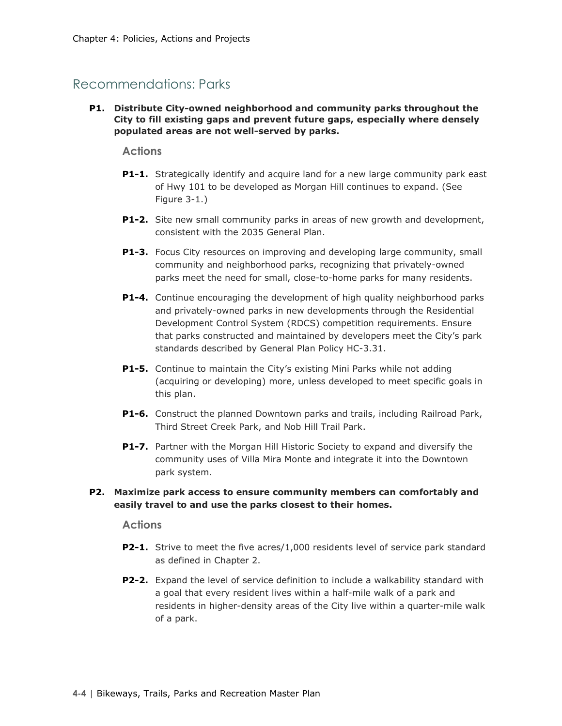### Recommendations: Parks

**P1. Distribute City-owned neighborhood and community parks throughout the City to fill existing gaps and prevent future gaps, especially where densely populated areas are not well-served by parks.**

### **Actions**

- **P1-1.** Strategically identify and acquire land for a new large community park east of Hwy 101 to be developed as Morgan Hill continues to expand. (See Figure 3-1.)
- **P1-2.** Site new small community parks in areas of new growth and development, consistent with the 2035 General Plan.
- **P1-3.** Focus City resources on improving and developing large community, small community and neighborhood parks, recognizing that privately-owned parks meet the need for small, close-to-home parks for many residents.
- **P1-4.** Continue encouraging the development of high quality neighborhood parks and privately-owned parks in new developments through the Residential Development Control System (RDCS) competition requirements. Ensure that parks constructed and maintained by developers meet the City's park standards described by General Plan Policy HC-3.31.
- **P1-5.** Continue to maintain the City's existing Mini Parks while not adding (acquiring or developing) more, unless developed to meet specific goals in this plan.
- **P1-6.** Construct the planned Downtown parks and trails, including Railroad Park, Third Street Creek Park, and Nob Hill Trail Park.
- **P1-7.** Partner with the Morgan Hill Historic Society to expand and diversify the community uses of Villa Mira Monte and integrate it into the Downtown park system.

### **P2. Maximize park access to ensure community members can comfortably and easily travel to and use the parks closest to their homes.**

- **P2-1.** Strive to meet the five acres/1,000 residents level of service park standard as defined in Chapter 2.
- **P2-2.** Expand the level of service definition to include a walkability standard with a goal that every resident lives within a half-mile walk of a park and residents in higher-density areas of the City live within a quarter-mile walk of a park.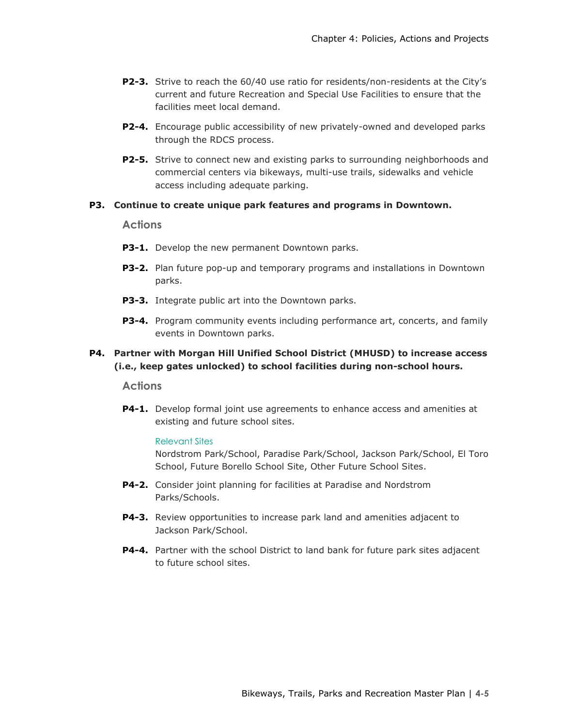- **P2-3.** Strive to reach the 60/40 use ratio for residents/non-residents at the City's current and future Recreation and Special Use Facilities to ensure that the facilities meet local demand.
- **P2-4.** Encourage public accessibility of new privately-owned and developed parks through the RDCS process.
- **P2-5.** Strive to connect new and existing parks to surrounding neighborhoods and commercial centers via bikeways, multi-use trails, sidewalks and vehicle access including adequate parking.

### **P3. Continue to create unique park features and programs in Downtown.**

### **Actions**

- **P3-1.** Develop the new permanent Downtown parks.
- **P3-2.** Plan future pop-up and temporary programs and installations in Downtown parks.
- **P3-3.** Integrate public art into the Downtown parks.
- **P3-4.** Program community events including performance art, concerts, and family events in Downtown parks.

### **P4. Partner with Morgan Hill Unified School District (MHUSD) to increase access (i.e., keep gates unlocked) to school facilities during non-school hours.**

### **Actions**

**P4-1.** Develop formal joint use agreements to enhance access and amenities at existing and future school sites.

#### Relevant Sites

Nordstrom Park/School, Paradise Park/School, Jackson Park/School, El Toro School, Future Borello School Site, Other Future School Sites.

- **P4-2.** Consider joint planning for facilities at Paradise and Nordstrom Parks/Schools.
- **P4-3.** Review opportunities to increase park land and amenities adjacent to Jackson Park/School.
- **P4-4.** Partner with the school District to land bank for future park sites adjacent to future school sites.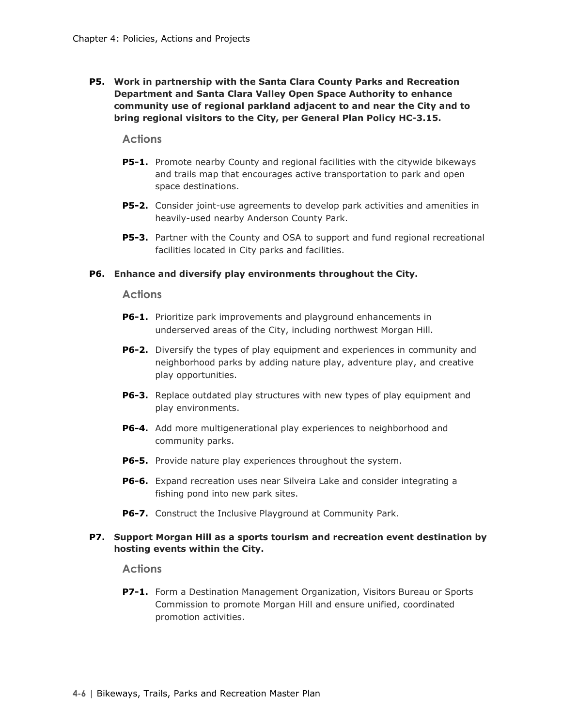**P5. Work in partnership with the Santa Clara County Parks and Recreation Department and Santa Clara Valley Open Space Authority to enhance community use of regional parkland adjacent to and near the City and to bring regional visitors to the City, per General Plan Policy HC-3.15.**

### **Actions**

- **P5-1.** Promote nearby County and regional facilities with the citywide bikeways and trails map that encourages active transportation to park and open space destinations.
- **P5-2.** Consider joint-use agreements to develop park activities and amenities in heavily-used nearby Anderson County Park.
- **P5-3.** Partner with the County and OSA to support and fund regional recreational facilities located in City parks and facilities.

### **P6. Enhance and diversify play environments throughout the City.**

### **Actions**

- **P6-1.** Prioritize park improvements and playground enhancements in underserved areas of the City, including northwest Morgan Hill.
- **P6-2.** Diversify the types of play equipment and experiences in community and neighborhood parks by adding nature play, adventure play, and creative play opportunities.
- **P6-3.** Replace outdated play structures with new types of play equipment and play environments.
- **P6-4.** Add more multigenerational play experiences to neighborhood and community parks.
- **P6-5.** Provide nature play experiences throughout the system.
- **P6-6.** Expand recreation uses near Silveira Lake and consider integrating a fishing pond into new park sites.
- **P6-7.** Construct the Inclusive Playground at Community Park.

### **P7. Support Morgan Hill as a sports tourism and recreation event destination by hosting events within the City.**

### **Actions**

**P7-1.** Form a Destination Management Organization, Visitors Bureau or Sports Commission to promote Morgan Hill and ensure unified, coordinated promotion activities.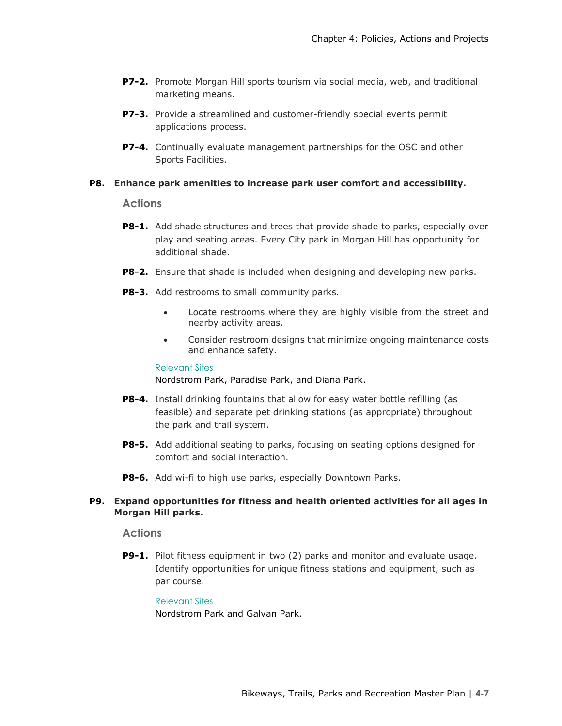- **P7-2.** Promote Morgan Hill sports tourism via social media, web, and traditional marketing means.
- **P7-3.** Provide a streamlined and customer-friendly special events permit applications process.
- **P7-4.** Continually evaluate management partnerships for the OSC and other Sports Facilities.

### **P8. Enhance park amenities to increase park user comfort and accessibility.**

**Actions**

- **P8-1.** Add shade structures and trees that provide shade to parks, especially over play and seating areas. Every City park in Morgan Hill has opportunity for additional shade.
- **P8-2.** Ensure that shade is included when designing and developing new parks.
- **P8-3.** Add restrooms to small community parks.
	- Locate restrooms where they are highly visible from the street and nearby activity areas.
	- Consider restroom designs that minimize ongoing maintenance costs and enhance safety.

#### Relevant Sites

Nordstrom Park, Paradise Park, and Diana Park.

- **P8-4.** Install drinking fountains that allow for easy water bottle refilling (as feasible) and separate pet drinking stations (as appropriate) throughout the park and trail system.
- **P8-5.** Add additional seating to parks, focusing on seating options designed for comfort and social interaction.
- **P8-6.** Add wi-fi to high use parks, especially Downtown Parks.

### **P9. Expand opportunities for fitness and health oriented activities for all ages in Morgan Hill parks.**

### **Actions**

**P9-1.** Pilot fitness equipment in two (2) parks and monitor and evaluate usage. Identify opportunities for unique fitness stations and equipment, such as par course.

#### Relevant Sites

Nordstrom Park and Galvan Park.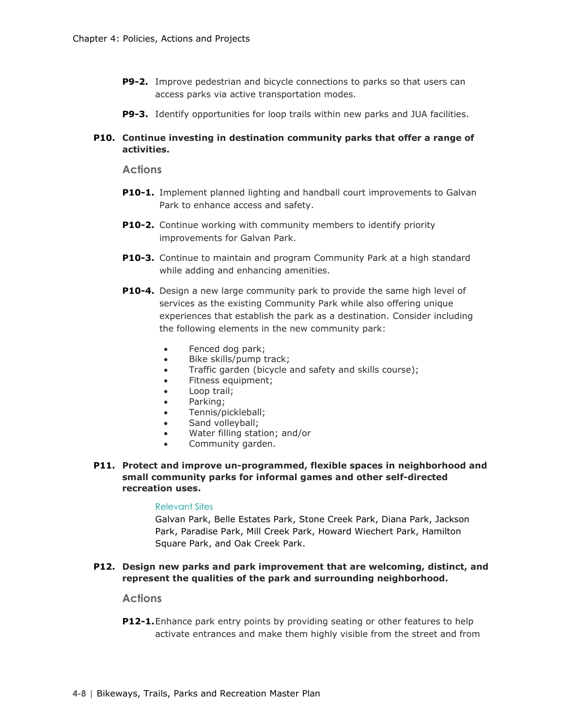- **P9-2.** Improve pedestrian and bicycle connections to parks so that users can access parks via active transportation modes.
- **P9-3.** Identify opportunities for loop trails within new parks and JUA facilities.

### **P10. Continue investing in destination community parks that offer a range of activities.**

**Actions**

- **P10-1.** Implement planned lighting and handball court improvements to Galvan Park to enhance access and safety.
- **P10-2.** Continue working with community members to identify priority improvements for Galvan Park.
- **P10-3.** Continue to maintain and program Community Park at a high standard while adding and enhancing amenities.
- **P10-4.** Design a new large community park to provide the same high level of services as the existing Community Park while also offering unique experiences that establish the park as a destination. Consider including the following elements in the new community park:
	- Fenced dog park;
	- Bike skills/pump track;
	- Traffic garden (bicycle and safety and skills course);
	- Fitness equipment;
	- Loop trail;
	- Parking;
	- Tennis/pickleball;
	- Sand volleyball;
	- Water filling station; and/or
	- Community garden.
- **P11. Protect and improve un-programmed, flexible spaces in neighborhood and small community parks for informal games and other self-directed recreation uses.**

### Relevant Sites

Galvan Park, Belle Estates Park, Stone Creek Park, Diana Park, Jackson Park, Paradise Park, Mill Creek Park, Howard Wiechert Park, Hamilton Square Park, and Oak Creek Park.

### **P12. Design new parks and park improvement that are welcoming, distinct, and represent the qualities of the park and surrounding neighborhood.**

### **Actions**

**P12-1.**Enhance park entry points by providing seating or other features to help activate entrances and make them highly visible from the street and from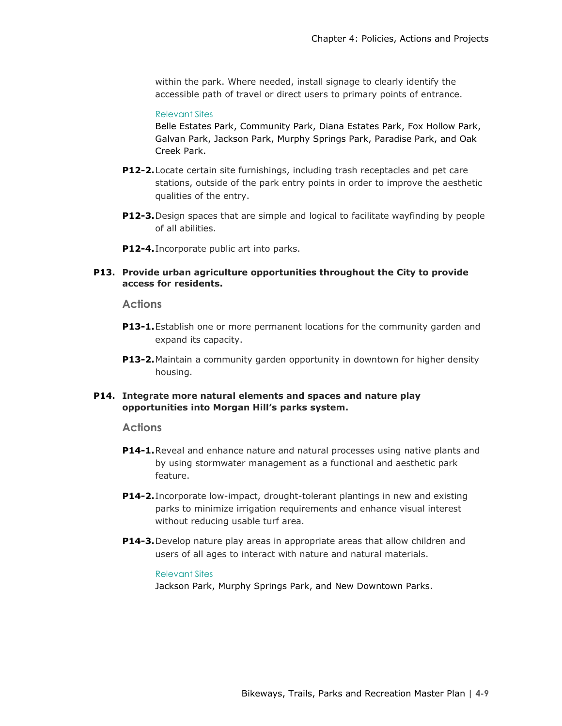within the park. Where needed, install signage to clearly identify the accessible path of travel or direct users to primary points of entrance.

### Relevant Sites

Belle Estates Park, Community Park, Diana Estates Park, Fox Hollow Park, Galvan Park, Jackson Park, Murphy Springs Park, Paradise Park, and Oak Creek Park.

- **P12-2.**Locate certain site furnishings, including trash receptacles and pet care stations, outside of the park entry points in order to improve the aesthetic qualities of the entry.
- **P12-3.**Design spaces that are simple and logical to facilitate wayfinding by people of all abilities.
- **P12-4.**Incorporate public art into parks.

### **P13. Provide urban agriculture opportunities throughout the City to provide access for residents.**

### **Actions**

- **P13-1.**Establish one or more permanent locations for the community garden and expand its capacity.
- **P13-2.**Maintain a community garden opportunity in downtown for higher density housing.

### **P14. Integrate more natural elements and spaces and nature play opportunities into Morgan Hill's parks system.**

#### **Actions**

- **P14-1.**Reveal and enhance nature and natural processes using native plants and by using stormwater management as a functional and aesthetic park feature.
- **P14-2.**Incorporate low-impact, drought-tolerant plantings in new and existing parks to minimize irrigation requirements and enhance visual interest without reducing usable turf area.
- **P14-3.**Develop nature play areas in appropriate areas that allow children and users of all ages to interact with nature and natural materials.

#### Relevant Sites

Jackson Park, Murphy Springs Park, and New Downtown Parks.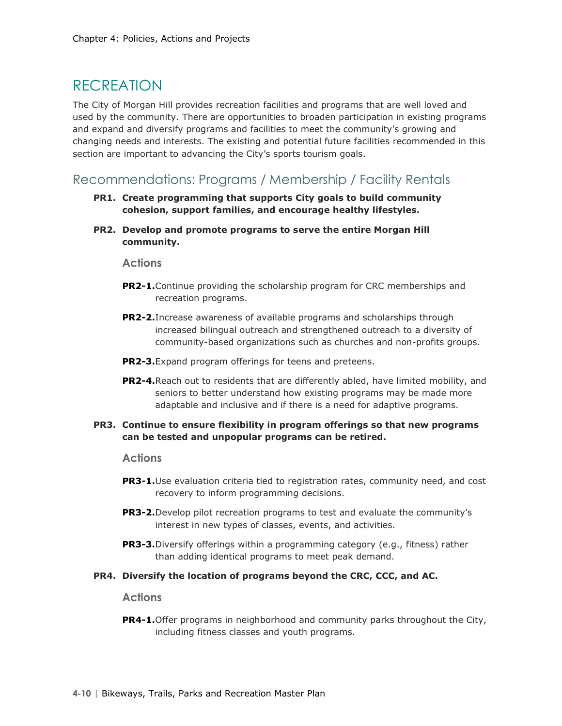### RECREATION

The City of Morgan Hill provides recreation facilities and programs that are well loved and used by the community. There are opportunities to broaden participation in existing programs and expand and diversify programs and facilities to meet the community's growing and changing needs and interests. The existing and potential future facilities recommended in this section are important to advancing the City's sports tourism goals.

Recommendations: Programs / Membership / Facility Rentals

- **PR1. Create programming that supports City goals to build community cohesion, support families, and encourage healthy lifestyles.**
- **PR2. Develop and promote programs to serve the entire Morgan Hill community.**

### **Actions**

- **PR2-1.**Continue providing the scholarship program for CRC memberships and recreation programs.
- **PR2-2.**Increase awareness of available programs and scholarships through increased bilingual outreach and strengthened outreach to a diversity of community-based organizations such as churches and non-profits groups.
- **PR2-3.**Expand program offerings for teens and preteens.
- **PR2-4.**Reach out to residents that are differently abled, have limited mobility, and seniors to better understand how existing programs may be made more adaptable and inclusive and if there is a need for adaptive programs.

### **PR3. Continue to ensure flexibility in program offerings so that new programs can be tested and unpopular programs can be retired.**

### **Actions**

- **PR3-1.**Use evaluation criteria tied to registration rates, community need, and cost recovery to inform programming decisions.
- **PR3-2.**Develop pilot recreation programs to test and evaluate the community's interest in new types of classes, events, and activities.
- **PR3-3.**Diversify offerings within a programming category (e.g., fitness) rather than adding identical programs to meet peak demand.
- **PR4. Diversify the location of programs beyond the CRC, CCC, and AC.**

### **Actions**

**PR4-1.**Offer programs in neighborhood and community parks throughout the City, including fitness classes and youth programs.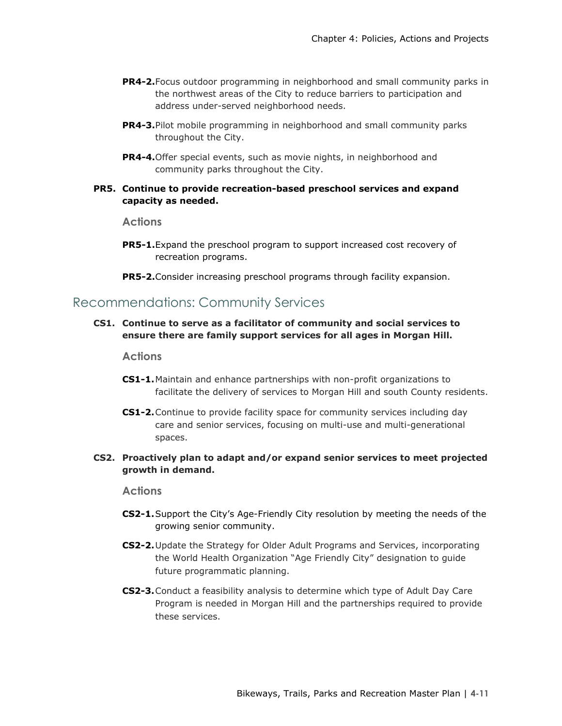- **PR4-2.**Focus outdoor programming in neighborhood and small community parks in the northwest areas of the City to reduce barriers to participation and address under-served neighborhood needs.
- **PR4-3.**Pilot mobile programming in neighborhood and small community parks throughout the City.
- **PR4-4.**Offer special events, such as movie nights, in neighborhood and community parks throughout the City.

### **PR5. Continue to provide recreation-based preschool services and expand capacity as needed.**

### **Actions**

- **PR5-1.**Expand the preschool program to support increased cost recovery of recreation programs.
- **PR5-2.**Consider increasing preschool programs through facility expansion.

### Recommendations: Community Services

**CS1. Continue to serve as a facilitator of community and social services to ensure there are family support services for all ages in Morgan Hill.** 

#### **Actions**

- **CS1-1.**Maintain and enhance partnerships with non-profit organizations to facilitate the delivery of services to Morgan Hill and south County residents.
- **CS1-2.**Continue to provide facility space for community services including day care and senior services, focusing on multi-use and multi-generational spaces.

### **CS2. Proactively plan to adapt and/or expand senior services to meet projected growth in demand.**

- **CS2-1.**Support the City's Age-Friendly City resolution by meeting the needs of the growing senior community.
- **CS2-2.**Update the Strategy for Older Adult Programs and Services, incorporating the World Health Organization "Age Friendly City" designation to guide future programmatic planning.
- **CS2-3.**Conduct a feasibility analysis to determine which type of Adult Day Care Program is needed in Morgan Hill and the partnerships required to provide these services.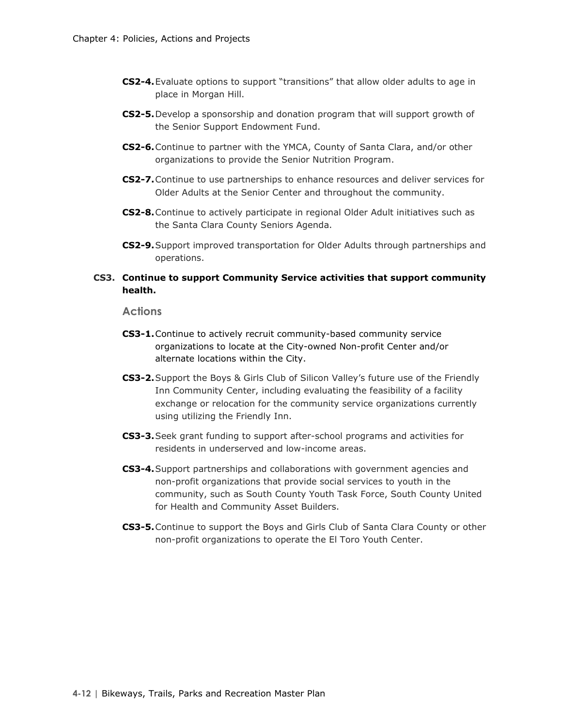- **CS2-4.**Evaluate options to support "transitions" that allow older adults to age in place in Morgan Hill.
- **CS2-5.**Develop a sponsorship and donation program that will support growth of the Senior Support Endowment Fund.
- **CS2-6.**Continue to partner with the YMCA, County of Santa Clara, and/or other organizations to provide the Senior Nutrition Program.
- **CS2-7.**Continue to use partnerships to enhance resources and deliver services for Older Adults at the Senior Center and throughout the community.
- **CS2-8.**Continue to actively participate in regional Older Adult initiatives such as the Santa Clara County Seniors Agenda.
- **CS2-9.**Support improved transportation for Older Adults through partnerships and operations.

### **CS3. Continue to support Community Service activities that support community health.**

- **CS3-1.**Continue to actively recruit community-based community service organizations to locate at the City-owned Non-profit Center and/or alternate locations within the City.
- **CS3-2.**Support the Boys & Girls Club of Silicon Valley's future use of the Friendly Inn Community Center, including evaluating the feasibility of a facility exchange or relocation for the community service organizations currently using utilizing the Friendly Inn.
- **CS3-3.**Seek grant funding to support after-school programs and activities for residents in underserved and low-income areas.
- **CS3-4.**Support partnerships and collaborations with government agencies and non-profit organizations that provide social services to youth in the community, such as South County Youth Task Force, South County United for Health and Community Asset Builders.
- **CS3-5.**Continue to support the Boys and Girls Club of Santa Clara County or other non-profit organizations to operate the El Toro Youth Center.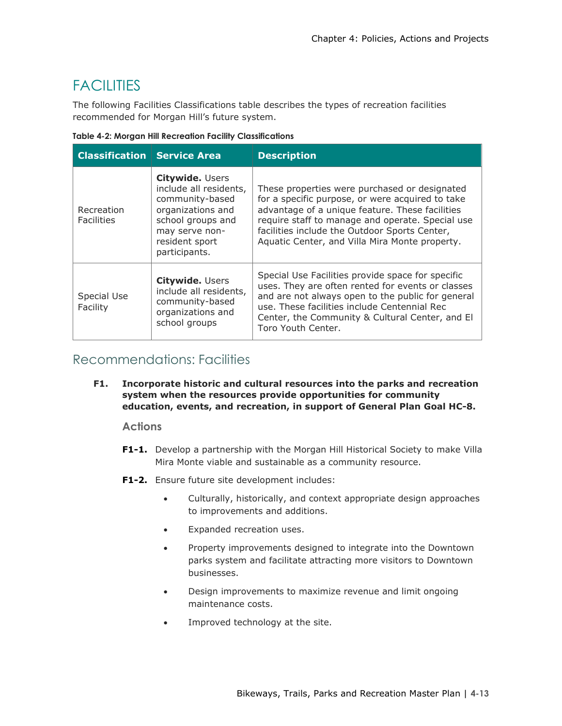# **FACILITIES**

The following Facilities Classifications table describes the types of recreation facilities recommended for Morgan Hill's future system.

| Table 4-2: Morgan Hill Recreation Facility Classifications |  |  |  |
|------------------------------------------------------------|--|--|--|
|------------------------------------------------------------|--|--|--|

| <b>Classification Service Area</b> |                                                                                                                                                                    | <b>Description</b>                                                                                                                                                                                                                                                                                          |
|------------------------------------|--------------------------------------------------------------------------------------------------------------------------------------------------------------------|-------------------------------------------------------------------------------------------------------------------------------------------------------------------------------------------------------------------------------------------------------------------------------------------------------------|
| Recreation<br><b>Facilities</b>    | <b>Citywide. Users</b><br>include all residents,<br>community-based<br>organizations and<br>school groups and<br>may serve non-<br>resident sport<br>participants. | These properties were purchased or designated<br>for a specific purpose, or were acquired to take<br>advantage of a unique feature. These facilities<br>require staff to manage and operate. Special use<br>facilities include the Outdoor Sports Center,<br>Aquatic Center, and Villa Mira Monte property. |
| Special Use<br>Facility            | <b>Citywide. Users</b><br>include all residents,<br>community-based<br>organizations and<br>school groups                                                          | Special Use Facilities provide space for specific<br>uses. They are often rented for events or classes<br>and are not always open to the public for general<br>use. These facilities include Centennial Rec<br>Center, the Community & Cultural Center, and El<br>Toro Youth Center.                        |

### Recommendations: Facilities

**F1. Incorporate historic and cultural resources into the parks and recreation system when the resources provide opportunities for community education, events, and recreation, in support of General Plan Goal HC-8.** 

- **F1-1.** Develop a partnership with the Morgan Hill Historical Society to make Villa Mira Monte viable and sustainable as a community resource.
- **F1-2.** Ensure future site development includes:
	- Culturally, historically, and context appropriate design approaches to improvements and additions.
	- Expanded recreation uses.
	- Property improvements designed to integrate into the Downtown parks system and facilitate attracting more visitors to Downtown businesses.
	- Design improvements to maximize revenue and limit ongoing maintenance costs.
	- Improved technology at the site.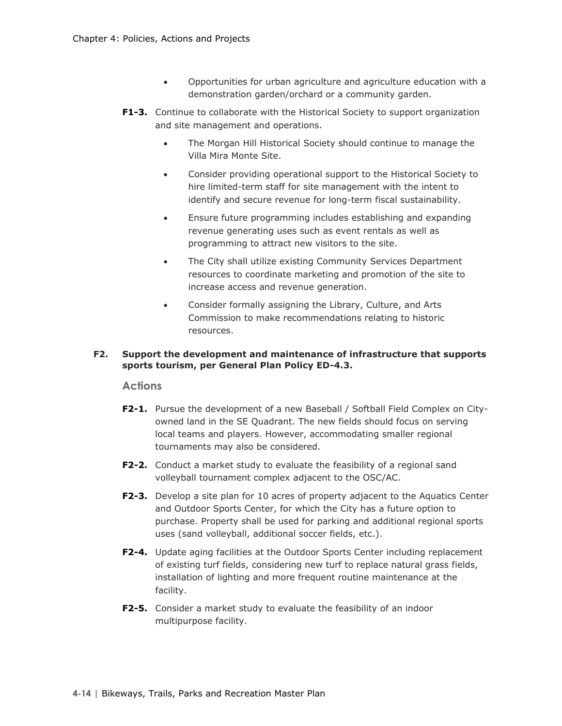- Opportunities for urban agriculture and agriculture education with a demonstration garden/orchard or a community garden.
- **F1-3.** Continue to collaborate with the Historical Society to support organization and site management and operations.
	- The Morgan Hill Historical Society should continue to manage the Villa Mira Monte Site.
	- Consider providing operational support to the Historical Society to hire limited-term staff for site management with the intent to identify and secure revenue for long-term fiscal sustainability.
	- Ensure future programming includes establishing and expanding revenue generating uses such as event rentals as well as programming to attract new visitors to the site.
	- The City shall utilize existing Community Services Department resources to coordinate marketing and promotion of the site to increase access and revenue generation.
	- Consider formally assigning the Library, Culture, and Arts Commission to make recommendations relating to historic resources.

### **F2. Support the development and maintenance of infrastructure that supports sports tourism, per General Plan Policy ED-4.3.**

- **F2-1.** Pursue the development of a new Baseball / Softball Field Complex on Cityowned land in the SE Quadrant. The new fields should focus on serving local teams and players. However, accommodating smaller regional tournaments may also be considered.
- **F2-2.** Conduct a market study to evaluate the feasibility of a regional sand volleyball tournament complex adjacent to the OSC/AC.
- **F2-3.** Develop a site plan for 10 acres of property adjacent to the Aquatics Center and Outdoor Sports Center, for which the City has a future option to purchase. Property shall be used for parking and additional regional sports uses (sand volleyball, additional soccer fields, etc.).
- **F2-4.** Update aging facilities at the Outdoor Sports Center including replacement of existing turf fields, considering new turf to replace natural grass fields, installation of lighting and more frequent routine maintenance at the facility.
- **F2-5.** Consider a market study to evaluate the feasibility of an indoor multipurpose facility.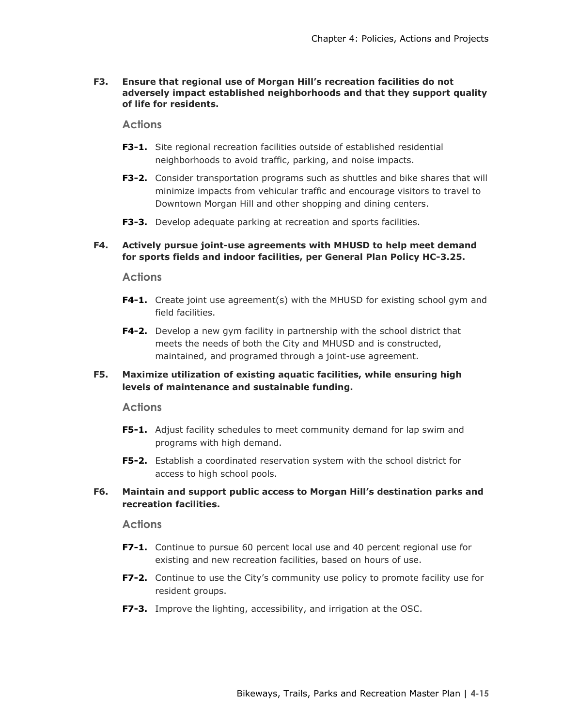**F3. Ensure that regional use of Morgan Hill's recreation facilities do not adversely impact established neighborhoods and that they support quality of life for residents.**

**Actions**

- **F3-1.** Site regional recreation facilities outside of established residential neighborhoods to avoid traffic, parking, and noise impacts.
- **F3-2.** Consider transportation programs such as shuttles and bike shares that will minimize impacts from vehicular traffic and encourage visitors to travel to Downtown Morgan Hill and other shopping and dining centers.
- **F3-3.** Develop adequate parking at recreation and sports facilities.

### **F4. Actively pursue joint-use agreements with MHUSD to help meet demand for sports fields and indoor facilities, per General Plan Policy HC-3.25.**

### **Actions**

- **F4-1.** Create joint use agreement(s) with the MHUSD for existing school gym and field facilities.
- **F4-2.** Develop a new gym facility in partnership with the school district that meets the needs of both the City and MHUSD and is constructed, maintained, and programed through a joint-use agreement.

### **F5. Maximize utilization of existing aquatic facilities, while ensuring high levels of maintenance and sustainable funding.**

### **Actions**

- **F5-1.** Adjust facility schedules to meet community demand for lap swim and programs with high demand.
- **F5-2.** Establish a coordinated reservation system with the school district for access to high school pools.

### **F6. Maintain and support public access to Morgan Hill's destination parks and recreation facilities.**

- **F7-1.** Continue to pursue 60 percent local use and 40 percent regional use for existing and new recreation facilities, based on hours of use.
- **F7-2.** Continue to use the City's community use policy to promote facility use for resident groups.
- **F7-3.** Improve the lighting, accessibility, and irrigation at the OSC.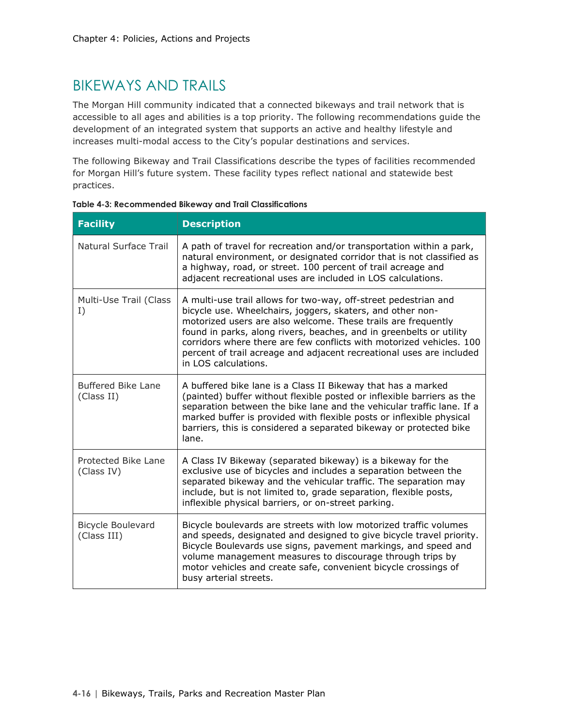## BIKEWAYS AND TRAILS

The Morgan Hill community indicated that a connected bikeways and trail network that is accessible to all ages and abilities is a top priority. The following recommendations guide the development of an integrated system that supports an active and healthy lifestyle and increases multi-modal access to the City's popular destinations and services.

The following Bikeway and Trail Classifications describe the types of facilities recommended for Morgan Hill's future system. These facility types reflect national and statewide best practices.

| <b>Facility</b>                         | <b>Description</b>                                                                                                                                                                                                                                                                                                                                                                                                                            |
|-----------------------------------------|-----------------------------------------------------------------------------------------------------------------------------------------------------------------------------------------------------------------------------------------------------------------------------------------------------------------------------------------------------------------------------------------------------------------------------------------------|
| <b>Natural Surface Trail</b>            | A path of travel for recreation and/or transportation within a park,<br>natural environment, or designated corridor that is not classified as<br>a highway, road, or street. 100 percent of trail acreage and<br>adjacent recreational uses are included in LOS calculations.                                                                                                                                                                 |
| Multi-Use Trail (Class<br>I)            | A multi-use trail allows for two-way, off-street pedestrian and<br>bicycle use. Wheelchairs, joggers, skaters, and other non-<br>motorized users are also welcome. These trails are frequently<br>found in parks, along rivers, beaches, and in greenbelts or utility<br>corridors where there are few conflicts with motorized vehicles, 100<br>percent of trail acreage and adjacent recreational uses are included<br>in LOS calculations. |
| <b>Buffered Bike Lane</b><br>(Class II) | A buffered bike lane is a Class II Bikeway that has a marked<br>(painted) buffer without flexible posted or inflexible barriers as the<br>separation between the bike lane and the vehicular traffic lane. If a<br>marked buffer is provided with flexible posts or inflexible physical<br>barriers, this is considered a separated bikeway or protected bike<br>lane.                                                                        |
| Protected Bike Lane<br>(Class IV)       | A Class IV Bikeway (separated bikeway) is a bikeway for the<br>exclusive use of bicycles and includes a separation between the<br>separated bikeway and the vehicular traffic. The separation may<br>include, but is not limited to, grade separation, flexible posts,<br>inflexible physical barriers, or on-street parking.                                                                                                                 |
| <b>Bicycle Boulevard</b><br>(Class III) | Bicycle boulevards are streets with low motorized traffic volumes<br>and speeds, designated and designed to give bicycle travel priority.<br>Bicycle Boulevards use signs, pavement markings, and speed and<br>volume management measures to discourage through trips by<br>motor vehicles and create safe, convenient bicycle crossings of<br>busy arterial streets.                                                                         |

|  | Table 4-3: Recommended Bikeway and Trail Classifications |  |  |
|--|----------------------------------------------------------|--|--|
|  |                                                          |  |  |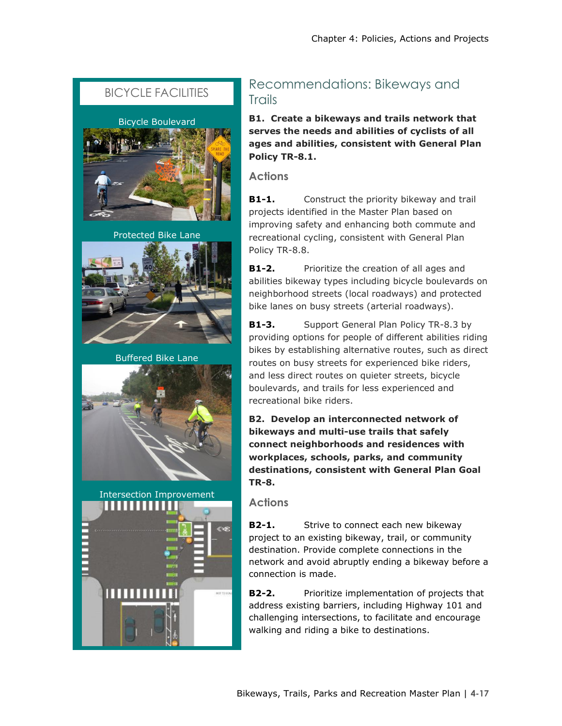### BICYCLE FACILITIES



Protected Bike Lane



Buffered Bike Lane





### Recommendations: Bikeways and **Trails**

**B1. Create a bikeways and trails network that serves the needs and abilities of cyclists of all ages and abilities, consistent with General Plan Policy TR-8.1.**

**Actions**

**B1-1.** Construct the priority bikeway and trail projects identified in the Master Plan based on improving safety and enhancing both commute and recreational cycling, consistent with General Plan Policy TR-8.8.

**B1-2.** Prioritize the creation of all ages and abilities bikeway types including bicycle boulevards on neighborhood streets (local roadways) and protected bike lanes on busy streets (arterial roadways).

**B1-3.** Support General Plan Policy TR-8.3 by providing options for people of different abilities riding bikes by establishing alternative routes, such as direct routes on busy streets for experienced bike riders, and less direct routes on quieter streets, bicycle boulevards, and trails for less experienced and recreational bike riders.

**B2. Develop an interconnected network of bikeways and multi-use trails that safely connect neighborhoods and residences with workplaces, schools, parks, and community destinations, consistent with General Plan Goal TR-8.**

**Actions**

**B2-1.** Strive to connect each new bikeway project to an existing bikeway, trail, or community destination. Provide complete connections in the network and avoid abruptly ending a bikeway before a connection is made.

**B2-2.** Prioritize implementation of projects that address existing barriers, including Highway 101 and challenging intersections, to facilitate and encourage walking and riding a bike to destinations.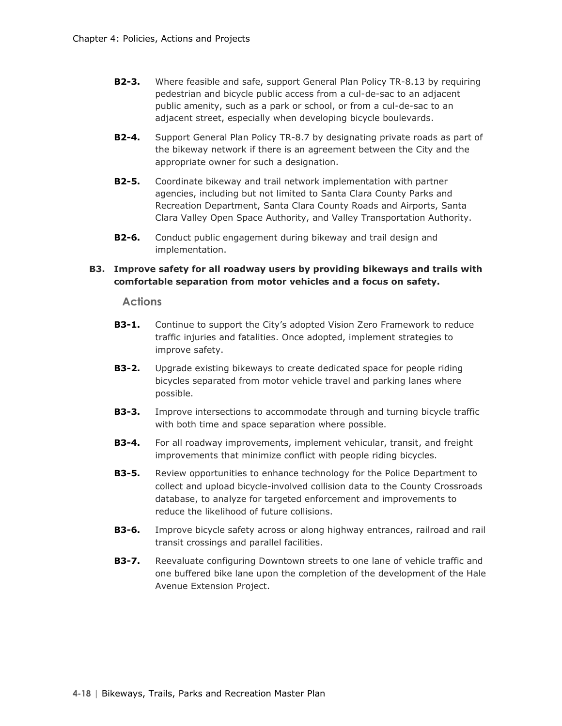- **B2-3.** Where feasible and safe, support General Plan Policy TR-8.13 by requiring pedestrian and bicycle public access from a cul-de-sac to an adjacent public amenity, such as a park or school, or from a cul-de-sac to an adjacent street, especially when developing bicycle boulevards.
- **B2-4.** Support General Plan Policy TR-8.7 by designating private roads as part of the bikeway network if there is an agreement between the City and the appropriate owner for such a designation.
- **B2-5.** Coordinate bikeway and trail network implementation with partner agencies, including but not limited to Santa Clara County Parks and Recreation Department, Santa Clara County Roads and Airports, Santa Clara Valley Open Space Authority, and Valley Transportation Authority.
- **B2-6.** Conduct public engagement during bikeway and trail design and implementation.

### **B3. Improve safety for all roadway users by providing bikeways and trails with comfortable separation from motor vehicles and a focus on safety.**

- **B3-1.** Continue to support the City's adopted Vision Zero Framework to reduce traffic injuries and fatalities. Once adopted, implement strategies to improve safety.
- **B3-2.** Upgrade existing bikeways to create dedicated space for people riding bicycles separated from motor vehicle travel and parking lanes where possible.
- **B3-3.** Improve intersections to accommodate through and turning bicycle traffic with both time and space separation where possible.
- **B3-4.** For all roadway improvements, implement vehicular, transit, and freight improvements that minimize conflict with people riding bicycles.
- **B3-5.** Review opportunities to enhance technology for the Police Department to collect and upload bicycle-involved collision data to the County Crossroads database, to analyze for targeted enforcement and improvements to reduce the likelihood of future collisions.
- **B3-6.** Improve bicycle safety across or along highway entrances, railroad and rail transit crossings and parallel facilities.
- **B3-7.** Reevaluate configuring Downtown streets to one lane of vehicle traffic and one buffered bike lane upon the completion of the development of the Hale Avenue Extension Project.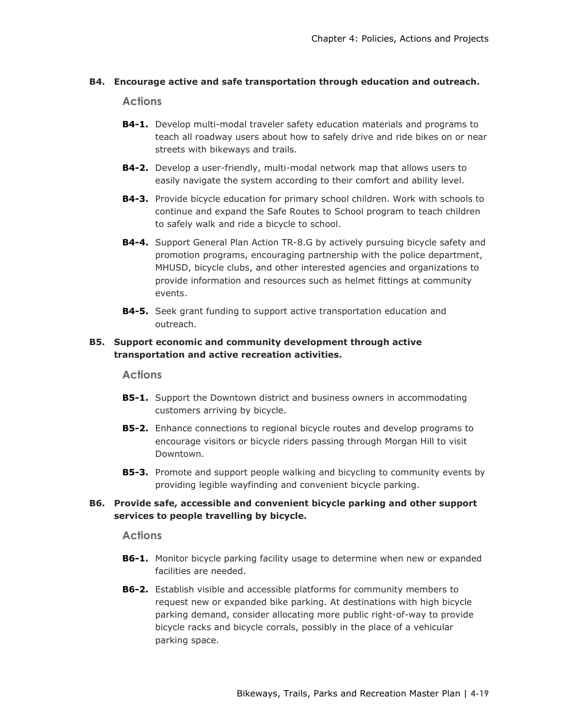### **B4. Encourage active and safe transportation through education and outreach.**

### **Actions**

- **B4-1.** Develop multi-modal traveler safety education materials and programs to teach all roadway users about how to safely drive and ride bikes on or near streets with bikeways and trails.
- **B4-2.** Develop a user-friendly, multi-modal network map that allows users to easily navigate the system according to their comfort and ability level.
- **B4-3.** Provide bicycle education for primary school children. Work with schools to continue and expand the Safe Routes to School program to teach children to safely walk and ride a bicycle to school.
- **B4-4.** Support General Plan Action TR-8.G by actively pursuing bicycle safety and promotion programs, encouraging partnership with the police department, MHUSD, bicycle clubs, and other interested agencies and organizations to provide information and resources such as helmet fittings at community events.
- **B4-5.** Seek grant funding to support active transportation education and outreach.

### **B5. Support economic and community development through active transportation and active recreation activities.**

### **Actions**

- **B5-1.** Support the Downtown district and business owners in accommodating customers arriving by bicycle.
- **B5-2.** Enhance connections to regional bicycle routes and develop programs to encourage visitors or bicycle riders passing through Morgan Hill to visit Downtown.
- **B5-3.** Promote and support people walking and bicycling to community events by providing legible wayfinding and convenient bicycle parking.

### **B6. Provide safe, accessible and convenient bicycle parking and other support services to people travelling by bicycle.**

- **B6-1.** Monitor bicycle parking facility usage to determine when new or expanded facilities are needed.
- **B6-2.** Establish visible and accessible platforms for community members to request new or expanded bike parking. At destinations with high bicycle parking demand, consider allocating more public right-of-way to provide bicycle racks and bicycle corrals, possibly in the place of a vehicular parking space.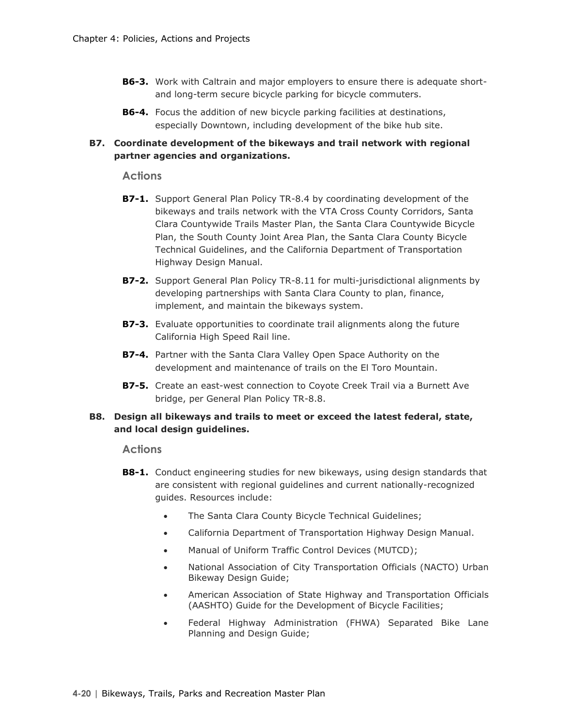- **B6-3.** Work with Caltrain and major employers to ensure there is adequate shortand long-term secure bicycle parking for bicycle commuters.
- **B6-4.** Focus the addition of new bicycle parking facilities at destinations, especially Downtown, including development of the bike hub site.

### **B7. Coordinate development of the bikeways and trail network with regional partner agencies and organizations.**

### **Actions**

- **B7-1.** Support General Plan Policy TR-8.4 by coordinating development of the bikeways and trails network with the VTA Cross County Corridors, Santa Clara Countywide Trails Master Plan, the Santa Clara Countywide Bicycle Plan, the South County Joint Area Plan, the Santa Clara County Bicycle Technical Guidelines, and the California Department of Transportation Highway Design Manual.
- **B7-2.** Support General Plan Policy TR-8.11 for multi-jurisdictional alignments by developing partnerships with Santa Clara County to plan, finance, implement, and maintain the bikeways system.
- **B7-3.** Evaluate opportunities to coordinate trail alignments along the future California High Speed Rail line.
- **B7-4.** Partner with the Santa Clara Valley Open Space Authority on the development and maintenance of trails on the El Toro Mountain.
- **B7-5.** Create an east-west connection to Coyote Creek Trail via a Burnett Ave bridge, per General Plan Policy TR-8.8.

### **B8. Design all bikeways and trails to meet or exceed the latest federal, state, and local design guidelines.**

- **B8-1.** Conduct engineering studies for new bikeways, using design standards that are consistent with regional guidelines and current nationally-recognized guides. Resources include:
	- The Santa Clara County Bicycle Technical Guidelines;
	- California Department of Transportation Highway Design Manual.
	- Manual of Uniform Traffic Control Devices (MUTCD);
	- National Association of City Transportation Officials (NACTO) Urban Bikeway Design Guide;
	- American Association of State Highway and Transportation Officials (AASHTO) Guide for the Development of Bicycle Facilities;
	- Federal Highway Administration (FHWA) Separated Bike Lane Planning and Design Guide;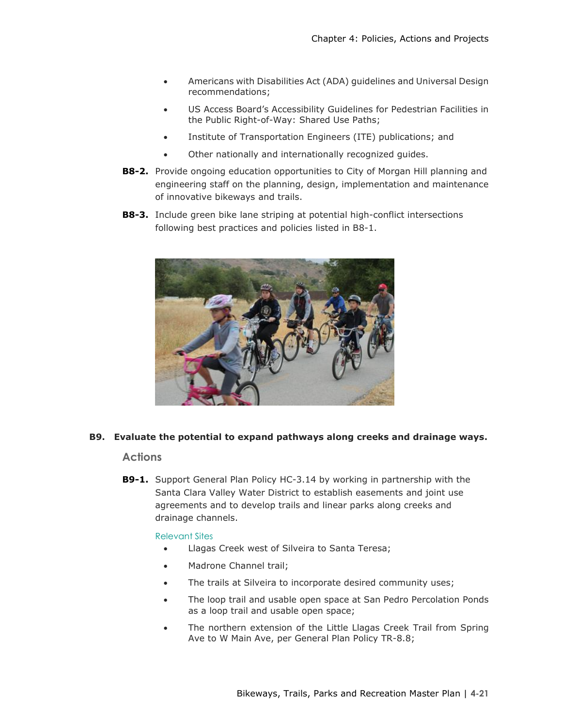- Americans with Disabilities Act (ADA) guidelines and Universal Design recommendations;
- US Access Board's Accessibility Guidelines for Pedestrian Facilities in the Public Right-of-Way: Shared Use Paths;
- Institute of Transportation Engineers (ITE) publications; and
- Other nationally and internationally recognized guides.
- **B8-2.** Provide ongoing education opportunities to City of Morgan Hill planning and engineering staff on the planning, design, implementation and maintenance of innovative bikeways and trails.
- **B8-3.** Include green bike lane striping at potential high-conflict intersections following best practices and policies listed in B8-1.



### **B9. Evaluate the potential to expand pathways along creeks and drainage ways.**

### **Actions**

**B9-1.** Support General Plan Policy HC-3.14 by working in partnership with the Santa Clara Valley Water District to establish easements and joint use agreements and to develop trails and linear parks along creeks and drainage channels.

#### Relevant Sites

- Llagas Creek west of Silveira to Santa Teresa;
- Madrone Channel trail;
- The trails at Silveira to incorporate desired community uses;
- The loop trail and usable open space at San Pedro Percolation Ponds as a loop trail and usable open space;
- The northern extension of the Little Llagas Creek Trail from Spring Ave to W Main Ave, per General Plan Policy TR-8.8;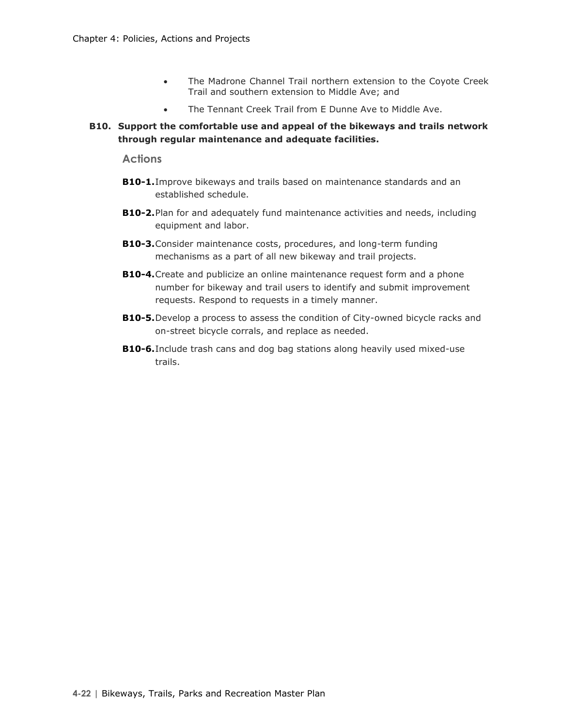- The Madrone Channel Trail northern extension to the Coyote Creek Trail and southern extension to Middle Ave; and
- The Tennant Creek Trail from E Dunne Ave to Middle Ave.

### **B10. Support the comfortable use and appeal of the bikeways and trails network through regular maintenance and adequate facilities.**

- **B10-1.**Improve bikeways and trails based on maintenance standards and an established schedule.
- **B10-2.**Plan for and adequately fund maintenance activities and needs, including equipment and labor.
- **B10-3.**Consider maintenance costs, procedures, and long-term funding mechanisms as a part of all new bikeway and trail projects.
- **B10-4.**Create and publicize an online maintenance request form and a phone number for bikeway and trail users to identify and submit improvement requests. Respond to requests in a timely manner.
- **B10-5.**Develop a process to assess the condition of City-owned bicycle racks and on-street bicycle corrals, and replace as needed.
- **B10-6.**Include trash cans and dog bag stations along heavily used mixed-use trails.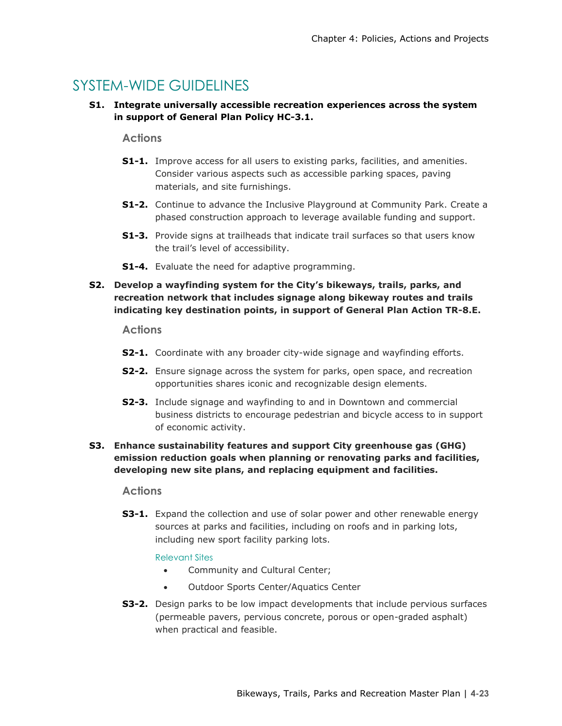## SYSTEM-WIDE GUIDELINES

**S1. Integrate universally accessible recreation experiences across the system in support of General Plan Policy HC-3.1.**

### **Actions**

- **S1-1.** Improve access for all users to existing parks, facilities, and amenities. Consider various aspects such as accessible parking spaces, paving materials, and site furnishings.
- **S1-2.** Continue to advance the Inclusive Playground at Community Park. Create a phased construction approach to leverage available funding and support.
- **S1-3.** Provide signs at trailheads that indicate trail surfaces so that users know the trail's level of accessibility.
- **S1-4.** Evaluate the need for adaptive programming.

### **S2. Develop a wayfinding system for the City's bikeways, trails, parks, and recreation network that includes signage along bikeway routes and trails indicating key destination points, in support of General Plan Action TR-8.E.**

### **Actions**

- **S2-1.** Coordinate with any broader city-wide signage and wayfinding efforts.
- **S2-2.** Ensure signage across the system for parks, open space, and recreation opportunities shares iconic and recognizable design elements.
- **S2-3.** Include signage and wayfinding to and in Downtown and commercial business districts to encourage pedestrian and bicycle access to in support of economic activity.

### **S3. Enhance sustainability features and support City greenhouse gas (GHG) emission reduction goals when planning or renovating parks and facilities, developing new site plans, and replacing equipment and facilities.**

### **Actions**

**S3-1.** Expand the collection and use of solar power and other renewable energy sources at parks and facilities, including on roofs and in parking lots, including new sport facility parking lots.

### Relevant Sites

- Community and Cultural Center;
- Outdoor Sports Center/Aquatics Center
- **S3-2.** Design parks to be low impact developments that include pervious surfaces (permeable pavers, pervious concrete, porous or open-graded asphalt) when practical and feasible.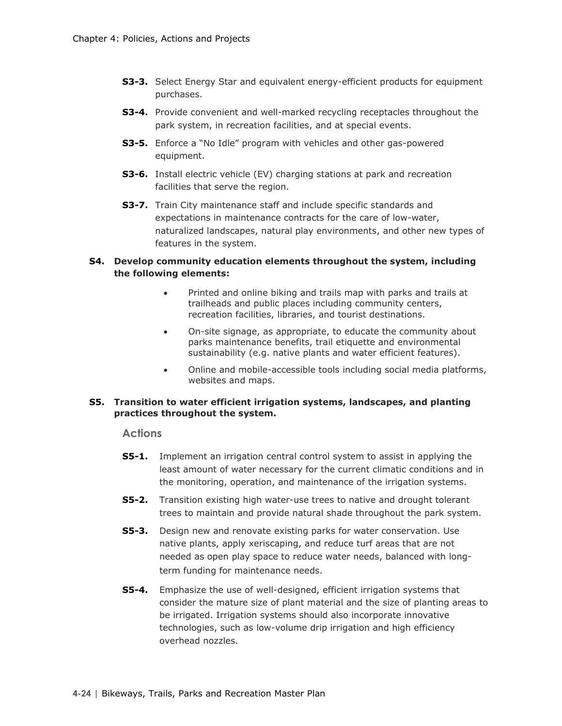- **S3-3.** Select Energy Star and equivalent energy-efficient products for equipment purchases.
- **S3-4.** Provide convenient and well-marked recycling receptacles throughout the park system, in recreation facilities, and at special events.
- **S3-5.** Enforce a "No Idle" program with vehicles and other gas-powered equipment.
- **S3-6.** Install electric vehicle (EV) charging stations at park and recreation facilities that serve the region.
- **S3-7.** Train City maintenance staff and include specific standards and expectations in maintenance contracts for the care of low-water, naturalized landscapes, natural play environments, and other new types of features in the system.

### **S4. Develop community education elements throughout the system, including the following elements:**

- Printed and online biking and trails map with parks and trails at trailheads and public places including community centers, recreation facilities, libraries, and tourist destinations.
- On-site signage, as appropriate, to educate the community about parks maintenance benefits, trail etiquette and environmental sustainability (e.g. native plants and water efficient features).
- Online and mobile-accessible tools including social media platforms, websites and maps.

### **S5. Transition to water efficient irrigation systems, landscapes, and planting practices throughout the system.**

- **S5-1.** Implement an irrigation central control system to assist in applying the least amount of water necessary for the current climatic conditions and in the monitoring, operation, and maintenance of the irrigation systems.
- **S5-2.** Transition existing high water-use trees to native and drought tolerant trees to maintain and provide natural shade throughout the park system.
- **S5-3.** Design new and renovate existing parks for water conservation. Use native plants, apply xeriscaping, and reduce turf areas that are not needed as open play space to reduce water needs, balanced with longterm funding for maintenance needs.
- **S5-4.** Emphasize the use of well-designed, efficient irrigation systems that consider the mature size of plant material and the size of planting areas to be irrigated. Irrigation systems should also incorporate innovative technologies, such as low-volume drip irrigation and high efficiency overhead nozzles.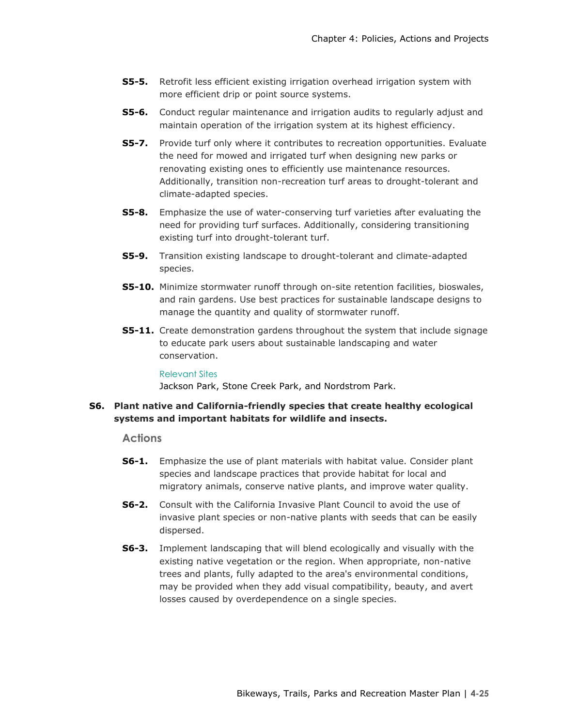- **S5-5.** Retrofit less efficient existing irrigation overhead irrigation system with more efficient drip or point source systems.
- **S5-6.** Conduct regular maintenance and irrigation audits to regularly adjust and maintain operation of the irrigation system at its highest efficiency.
- **S5-7.** Provide turf only where it contributes to recreation opportunities. Evaluate the need for mowed and irrigated turf when designing new parks or renovating existing ones to efficiently use maintenance resources. Additionally, transition non-recreation turf areas to drought-tolerant and climate-adapted species.
- **S5-8.** Emphasize the use of water-conserving turf varieties after evaluating the need for providing turf surfaces. Additionally, considering transitioning existing turf into drought-tolerant turf.
- **S5-9.** Transition existing landscape to drought-tolerant and climate-adapted species.
- **S5-10.** Minimize stormwater runoff through on-site retention facilities, bioswales, and rain gardens. Use best practices for sustainable landscape designs to manage the quantity and quality of stormwater runoff.
- **S5-11.** Create demonstration gardens throughout the system that include signage to educate park users about sustainable landscaping and water conservation.

Relevant Sites

Jackson Park, Stone Creek Park, and Nordstrom Park.

### **S6. Plant native and California-friendly species that create healthy ecological systems and important habitats for wildlife and insects.**

- **S6-1.** Emphasize the use of plant materials with habitat value. Consider plant species and landscape practices that provide habitat for local and migratory animals, conserve native plants, and improve water quality.
- **S6-2.** Consult with the California Invasive Plant Council to avoid the use of invasive plant species or non-native plants with seeds that can be easily dispersed.
- **S6-3.** Implement landscaping that will blend ecologically and visually with the existing native vegetation or the region. When appropriate, non-native trees and plants, fully adapted to the area's environmental conditions, may be provided when they add visual compatibility, beauty, and avert losses caused by overdependence on a single species.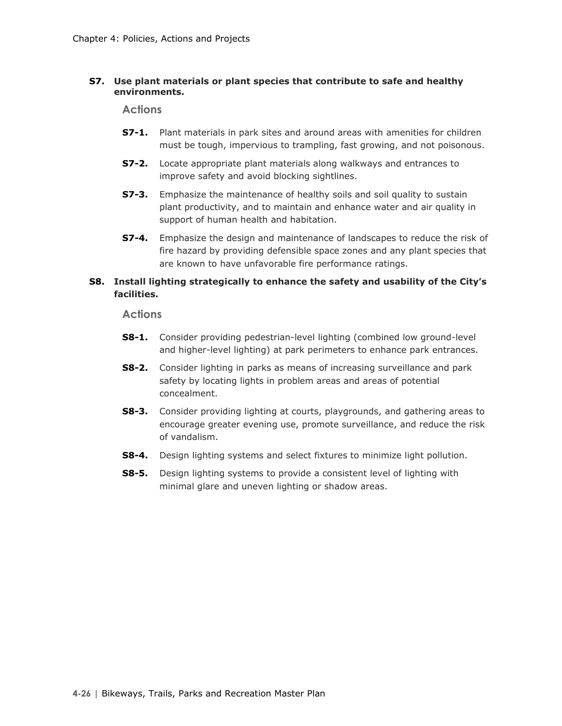### **S7. Use plant materials or plant species that contribute to safe and healthy environments.**

**Actions**

- **S7-1.** Plant materials in park sites and around areas with amenities for children must be tough, impervious to trampling, fast growing, and not poisonous.
- **S7-2.** Locate appropriate plant materials along walkways and entrances to improve safety and avoid blocking sightlines.
- **S7-3.** Emphasize the maintenance of healthy soils and soil quality to sustain plant productivity, and to maintain and enhance water and air quality in support of human health and habitation.
- **S7-4.** Emphasize the design and maintenance of landscapes to reduce the risk of fire hazard by providing defensible space zones and any plant species that are known to have unfavorable fire performance ratings.

### **S8. Install lighting strategically to enhance the safety and usability of the City's facilities.**

- **S8-1.** Consider providing pedestrian-level lighting (combined low ground-level and higher-level lighting) at park perimeters to enhance park entrances.
- **S8-2.** Consider lighting in parks as means of increasing surveillance and park safety by locating lights in problem areas and areas of potential concealment.
- **S8-3.** Consider providing lighting at courts, playgrounds, and gathering areas to encourage greater evening use, promote surveillance, and reduce the risk of vandalism.
- **S8-4.** Design lighting systems and select fixtures to minimize light pollution.
- **S8-5.** Design lighting systems to provide a consistent level of lighting with minimal glare and uneven lighting or shadow areas.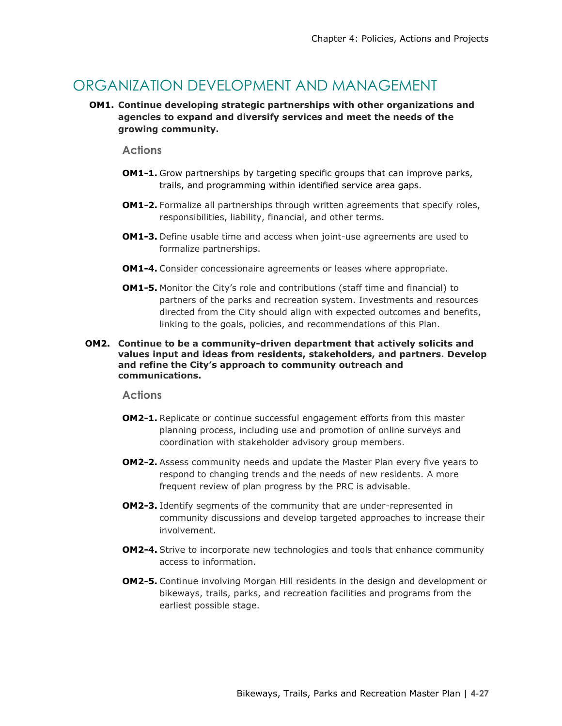### ORGANIZATION DEVELOPMENT AND MANAGEMENT

**OM1. Continue developing strategic partnerships with other organizations and agencies to expand and diversify services and meet the needs of the growing community.** 

### **Actions**

- **OM1-1.** Grow partnerships by targeting specific groups that can improve parks, trails, and programming within identified service area gaps.
- **OM1-2.** Formalize all partnerships through written agreements that specify roles, responsibilities, liability, financial, and other terms.
- **OM1-3.** Define usable time and access when joint-use agreements are used to formalize partnerships.
- **OM1-4.** Consider concessionaire agreements or leases where appropriate.
- **OM1-5.** Monitor the City's role and contributions (staff time and financial) to partners of the parks and recreation system. Investments and resources directed from the City should align with expected outcomes and benefits, linking to the goals, policies, and recommendations of this Plan.
- **OM2. Continue to be a community-driven department that actively solicits and values input and ideas from residents, stakeholders, and partners. Develop and refine the City's approach to community outreach and communications.**

- **OM2-1.** Replicate or continue successful engagement efforts from this master planning process, including use and promotion of online surveys and coordination with stakeholder advisory group members.
- **OM2-2.** Assess community needs and update the Master Plan every five years to respond to changing trends and the needs of new residents. A more frequent review of plan progress by the PRC is advisable.
- **OM2-3.** Identify segments of the community that are under-represented in community discussions and develop targeted approaches to increase their involvement.
- **OM2-4.** Strive to incorporate new technologies and tools that enhance community access to information.
- **OM2-5.** Continue involving Morgan Hill residents in the design and development or bikeways, trails, parks, and recreation facilities and programs from the earliest possible stage.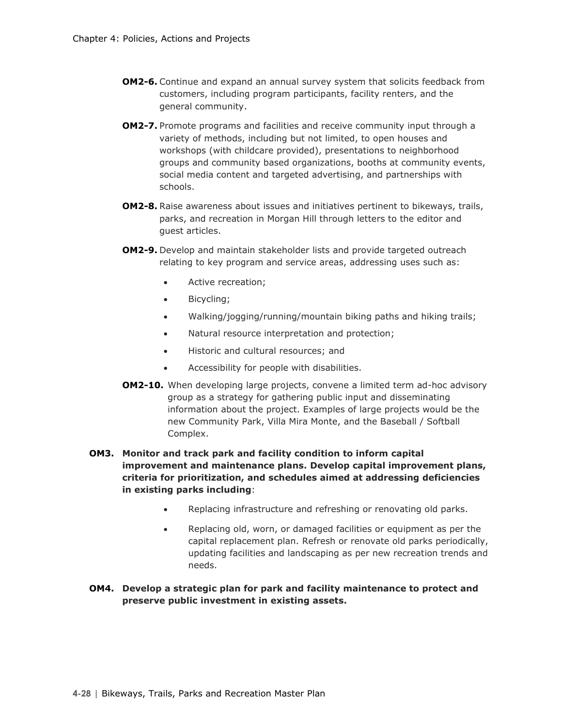- **OM2-6.** Continue and expand an annual survey system that solicits feedback from customers, including program participants, facility renters, and the general community.
- **OM2-7.** Promote programs and facilities and receive community input through a variety of methods, including but not limited, to open houses and workshops (with childcare provided), presentations to neighborhood groups and community based organizations, booths at community events, social media content and targeted advertising, and partnerships with schools.
- **OM2-8.** Raise awareness about issues and initiatives pertinent to bikeways, trails, parks, and recreation in Morgan Hill through letters to the editor and guest articles.
- **OM2-9.** Develop and maintain stakeholder lists and provide targeted outreach relating to key program and service areas, addressing uses such as:
	- Active recreation;
	- Bicycling;
	- Walking/jogging/running/mountain biking paths and hiking trails;
	- Natural resource interpretation and protection;
	- Historic and cultural resources; and
	- Accessibility for people with disabilities.
- **OM2-10.** When developing large projects, convene a limited term ad-hoc advisory group as a strategy for gathering public input and disseminating information about the project. Examples of large projects would be the new Community Park, Villa Mira Monte, and the Baseball / Softball Complex.

### **OM3. Monitor and track park and facility condition to inform capital improvement and maintenance plans. Develop capital improvement plans, criteria for prioritization, and schedules aimed at addressing deficiencies in existing parks including**:

- Replacing infrastructure and refreshing or renovating old parks.
- Replacing old, worn, or damaged facilities or equipment as per the capital replacement plan. Refresh or renovate old parks periodically, updating facilities and landscaping as per new recreation trends and needs.

### **OM4. Develop a strategic plan for park and facility maintenance to protect and preserve public investment in existing assets.**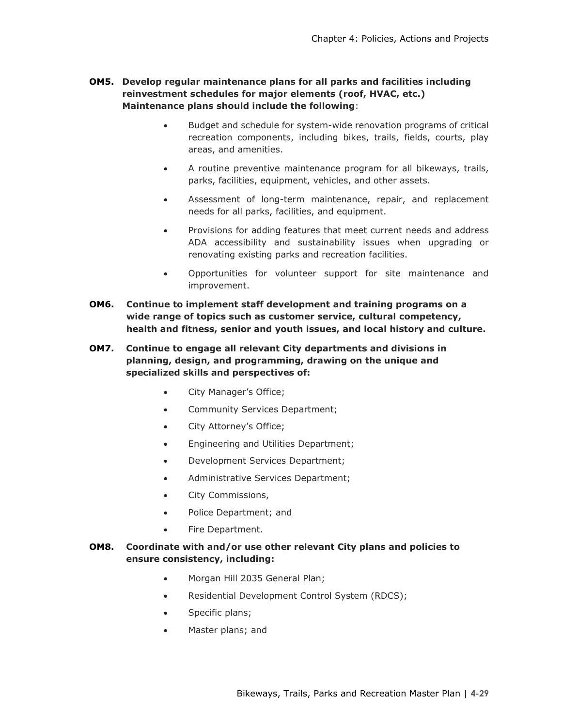### **OM5. Develop regular maintenance plans for all parks and facilities including reinvestment schedules for major elements (roof, HVAC, etc.) Maintenance plans should include the following**:

- Budget and schedule for system-wide renovation programs of critical recreation components, including bikes, trails, fields, courts, play areas, and amenities.
- A routine preventive maintenance program for all bikeways, trails, parks, facilities, equipment, vehicles, and other assets.
- Assessment of long-term maintenance, repair, and replacement needs for all parks, facilities, and equipment.
- Provisions for adding features that meet current needs and address ADA accessibility and sustainability issues when upgrading or renovating existing parks and recreation facilities.
- Opportunities for volunteer support for site maintenance and improvement.
- **OM6. Continue to implement staff development and training programs on a wide range of topics such as customer service, cultural competency, health and fitness, senior and youth issues, and local history and culture.**
- **OM7. Continue to engage all relevant City departments and divisions in planning, design, and programming, drawing on the unique and specialized skills and perspectives of:** 
	- City Manager's Office;
	- Community Services Department;
	- City Attorney's Office;
	- Engineering and Utilities Department;
	- Development Services Department;
	- Administrative Services Department;
	- City Commissions,
	- Police Department; and
	- Fire Department.

### **OM8. Coordinate with and/or use other relevant City plans and policies to ensure consistency, including:**

- Morgan Hill 2035 General Plan;
- Residential Development Control System (RDCS);
- Specific plans;
- Master plans; and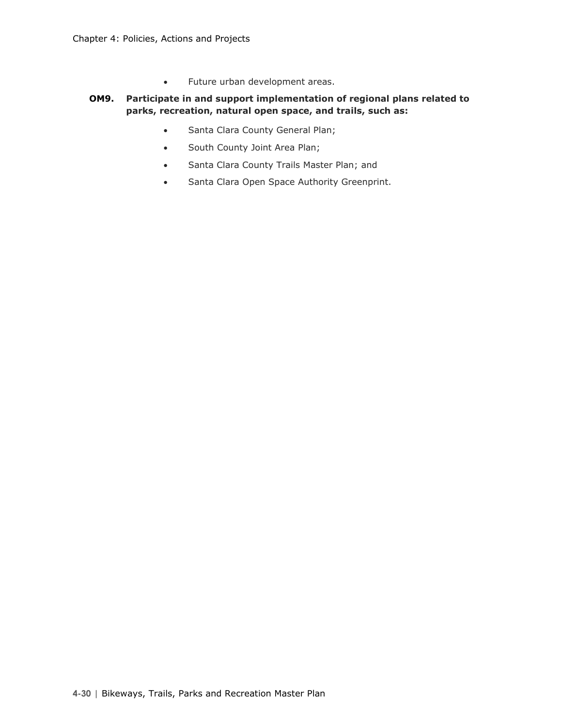• Future urban development areas.

### **OM9. Participate in and support implementation of regional plans related to parks, recreation, natural open space, and trails, such as:**

- Santa Clara County General Plan;
- South County Joint Area Plan;
- Santa Clara County Trails Master Plan; and
- Santa Clara Open Space Authority Greenprint.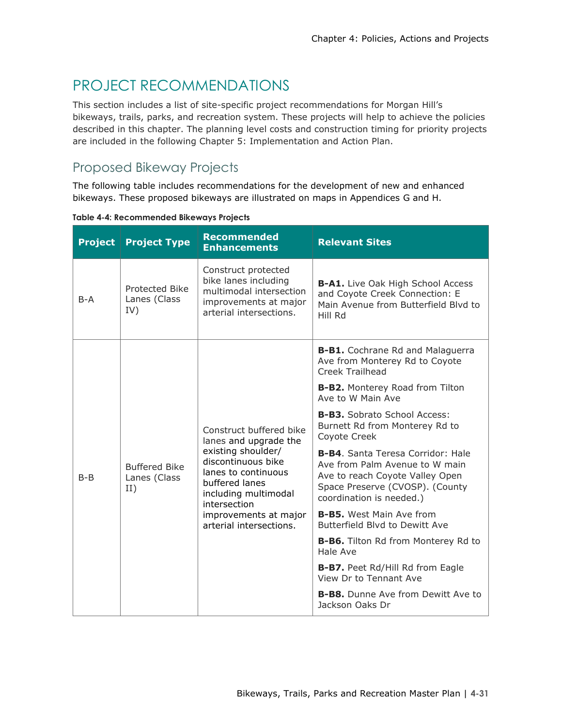# PROJECT RECOMMENDATIONS

This section includes a list of site-specific project recommendations for Morgan Hill's bikeways, trails, parks, and recreation system. These projects will help to achieve the policies described in this chapter. The planning level costs and construction timing for priority projects are included in the following Chapter 5: Implementation and Action Plan.

### Proposed Bikeway Projects

The following table includes recommendations for the development of new and enhanced bikeways. These proposed bikeways are illustrated on maps in Appendices G and H.

| <b>Project</b> | <b>Project Type</b>                         | <b>Recommended</b><br><b>Enhancements</b>                                                                                                                                                                                         | <b>Relevant Sites</b>                                                                                                                                                        |
|----------------|---------------------------------------------|-----------------------------------------------------------------------------------------------------------------------------------------------------------------------------------------------------------------------------------|------------------------------------------------------------------------------------------------------------------------------------------------------------------------------|
| $B-A$          | Protected Bike<br>Lanes (Class<br>IV)       | Construct protected<br>bike lanes including<br>multimodal intersection<br>improvements at major<br>arterial intersections.                                                                                                        | <b>B-A1.</b> Live Oak High School Access<br>and Coyote Creek Connection: E<br>Main Avenue from Butterfield Blyd to<br>Hill Rd                                                |
|                | <b>Buffered Bike</b><br>Lanes (Class<br>II) | Construct buffered bike<br>lanes and upgrade the<br>existing shoulder/<br>discontinuous bike<br>lanes to continuous<br>buffered lanes<br>including multimodal<br>intersection<br>improvements at major<br>arterial intersections. | <b>B-B1.</b> Cochrane Rd and Malaguerra<br>Ave from Monterey Rd to Coyote<br>Creek Trailhead                                                                                 |
| $B - B$        |                                             |                                                                                                                                                                                                                                   | <b>B-B2.</b> Monterey Road from Tilton<br>Ave to W Main Ave                                                                                                                  |
|                |                                             |                                                                                                                                                                                                                                   | <b>B-B3.</b> Sobrato School Access:<br>Burnett Rd from Monterey Rd to<br>Coyote Creek                                                                                        |
|                |                                             |                                                                                                                                                                                                                                   | <b>B-B4.</b> Santa Teresa Corridor: Hale<br>Ave from Palm Avenue to W main<br>Ave to reach Coyote Valley Open<br>Space Preserve (CVOSP). (County<br>coordination is needed.) |
|                |                                             |                                                                                                                                                                                                                                   | <b>B-B5.</b> West Main Ave from<br>Butterfield Blyd to Dewitt Ave                                                                                                            |
|                |                                             |                                                                                                                                                                                                                                   | <b>B-B6.</b> Tilton Rd from Monterey Rd to<br>Hale Ave                                                                                                                       |
|                |                                             |                                                                                                                                                                                                                                   | B-B7. Peet Rd/Hill Rd from Eagle<br>View Dr to Tennant Ave                                                                                                                   |
|                |                                             |                                                                                                                                                                                                                                   | <b>B-B8.</b> Dunne Ave from Dewitt Ave to<br>Jackson Oaks Dr                                                                                                                 |

**Table 4-4: Recommended Bikeways Projects**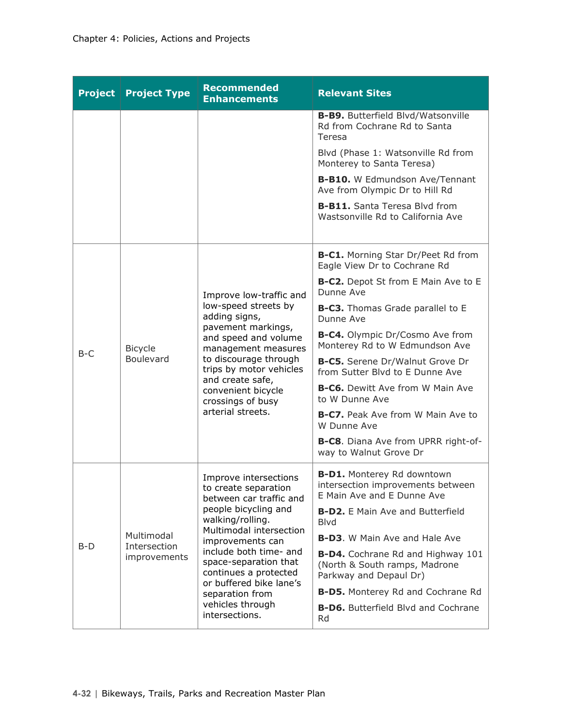| <b>Project</b> | <b>Project Type</b>         | <b>Recommended</b><br><b>Enhancements</b>                                                                                                                                                                                                                                     | <b>Relevant Sites</b>                                                                                |
|----------------|-----------------------------|-------------------------------------------------------------------------------------------------------------------------------------------------------------------------------------------------------------------------------------------------------------------------------|------------------------------------------------------------------------------------------------------|
|                |                             |                                                                                                                                                                                                                                                                               | <b>B-B9.</b> Butterfield Blvd/Watsonville<br>Rd from Cochrane Rd to Santa<br>Teresa                  |
|                |                             |                                                                                                                                                                                                                                                                               | Blvd (Phase 1: Watsonville Rd from<br>Monterey to Santa Teresa)                                      |
|                |                             |                                                                                                                                                                                                                                                                               | <b>B-B10.</b> W Edmundson Ave/Tennant<br>Ave from Olympic Dr to Hill Rd                              |
|                |                             |                                                                                                                                                                                                                                                                               | <b>B-B11.</b> Santa Teresa Blvd from<br>Wastsonville Rd to California Ave                            |
|                |                             |                                                                                                                                                                                                                                                                               | <b>B-C1.</b> Morning Star Dr/Peet Rd from<br>Eagle View Dr to Cochrane Rd                            |
|                |                             | Improve low-traffic and<br>low-speed streets by<br>adding signs,<br>pavement markings,<br>and speed and volume<br>management measures<br>to discourage through<br>trips by motor vehicles<br>and create safe,<br>convenient bicycle<br>crossings of busy<br>arterial streets. | <b>B-C2.</b> Depot St from E Main Ave to E<br>Dunne Ave                                              |
|                | <b>Bicycle</b><br>Boulevard |                                                                                                                                                                                                                                                                               | <b>B-C3.</b> Thomas Grade parallel to E<br>Dunne Ave                                                 |
| $B-C$          |                             |                                                                                                                                                                                                                                                                               | B-C4. Olympic Dr/Cosmo Ave from<br>Monterey Rd to W Edmundson Ave                                    |
|                |                             |                                                                                                                                                                                                                                                                               | B-C5. Serene Dr/Walnut Grove Dr<br>from Sutter Blyd to E Dunne Ave                                   |
|                |                             |                                                                                                                                                                                                                                                                               | <b>B-C6.</b> Dewitt Ave from W Main Ave<br>to W Dunne Ave                                            |
|                |                             |                                                                                                                                                                                                                                                                               | <b>B-C7.</b> Peak Ave from W Main Ave to<br>W Dunne Ave                                              |
|                |                             |                                                                                                                                                                                                                                                                               | <b>B-C8.</b> Diana Ave from UPRR right-of-<br>way to Walnut Grove Dr                                 |
|                |                             | Improve intersections<br>to create separation<br>between car traffic and                                                                                                                                                                                                      | <b>B-D1.</b> Monterey Rd downtown<br>intersection improvements between<br>E Main Ave and E Dunne Ave |
|                |                             | people bicycling and<br>walking/rolling.                                                                                                                                                                                                                                      | <b>B-D2.</b> E Main Ave and Butterfield<br><b>Blvd</b>                                               |
| $B-D$          | Multimodal<br>Intersection  | Multimodal intersection<br>improvements can                                                                                                                                                                                                                                   | <b>B-D3.</b> W Main Ave and Hale Ave                                                                 |
|                | improvements                | include both time- and<br>space-separation that<br>continues a protected                                                                                                                                                                                                      | B-D4. Cochrane Rd and Highway 101<br>(North & South ramps, Madrone<br>Parkway and Depaul Dr)         |
|                |                             | or buffered bike lane's<br>separation from                                                                                                                                                                                                                                    | B-D5. Monterey Rd and Cochrane Rd                                                                    |
|                |                             | vehicles through<br>intersections.                                                                                                                                                                                                                                            | <b>B-D6.</b> Butterfield Blvd and Cochrane<br>Rd                                                     |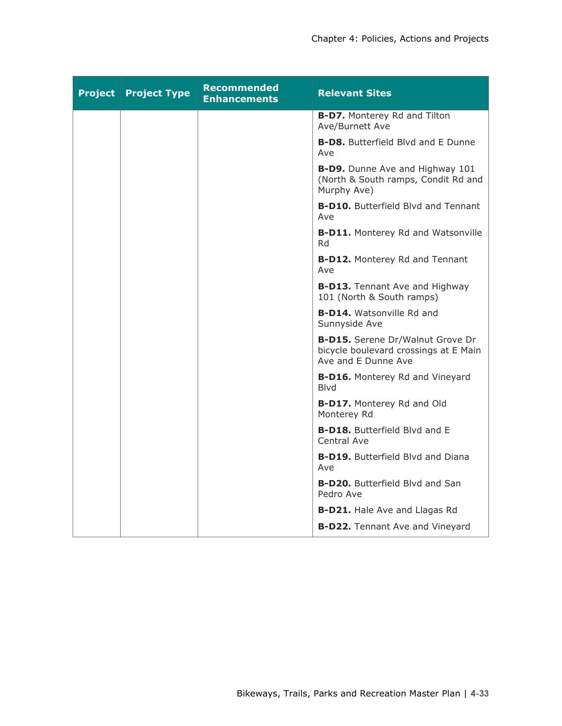| <b>Project   Project Type</b> | <b>Recommended</b><br><b>Enhancements</b> | <b>Relevant Sites</b>                                                                            |
|-------------------------------|-------------------------------------------|--------------------------------------------------------------------------------------------------|
|                               |                                           | <b>B-D7.</b> Monterey Rd and Tilton<br>Ave/Burnett Ave                                           |
|                               |                                           | <b>B-D8.</b> Butterfield Blvd and E Dunne<br>Ave                                                 |
|                               |                                           | B-D9. Dunne Ave and Highway 101<br>(North & South ramps, Condit Rd and<br>Murphy Ave)            |
|                               |                                           | <b>B-D10.</b> Butterfield Blvd and Tennant<br>Ave                                                |
|                               |                                           | <b>B-D11.</b> Monterey Rd and Watsonville<br>Rd                                                  |
|                               |                                           | <b>B-D12.</b> Monterey Rd and Tennant<br>Ave                                                     |
|                               |                                           | <b>B-D13.</b> Tennant Ave and Highway<br>101 (North & South ramps)                               |
|                               |                                           | <b>B-D14.</b> Watsonville Rd and<br>Sunnyside Ave                                                |
|                               |                                           | B-D15. Serene Dr/Walnut Grove Dr<br>bicycle boulevard crossings at E Main<br>Ave and E Dunne Ave |
|                               |                                           | <b>B-D16.</b> Monterey Rd and Vineyard<br><b>Blvd</b>                                            |
|                               |                                           | <b>B-D17.</b> Monterey Rd and Old<br>Monterey Rd                                                 |
|                               |                                           | <b>B-D18.</b> Butterfield Blvd and E<br>Central Ave                                              |
|                               |                                           | <b>B-D19.</b> Butterfield Blyd and Diana<br>Ave                                                  |
|                               |                                           | <b>B-D20.</b> Butterfield Blvd and San<br>Pedro Ave                                              |
|                               |                                           | <b>B-D21.</b> Hale Ave and Llagas Rd                                                             |
|                               |                                           | <b>B-D22.</b> Tennant Ave and Vineyard                                                           |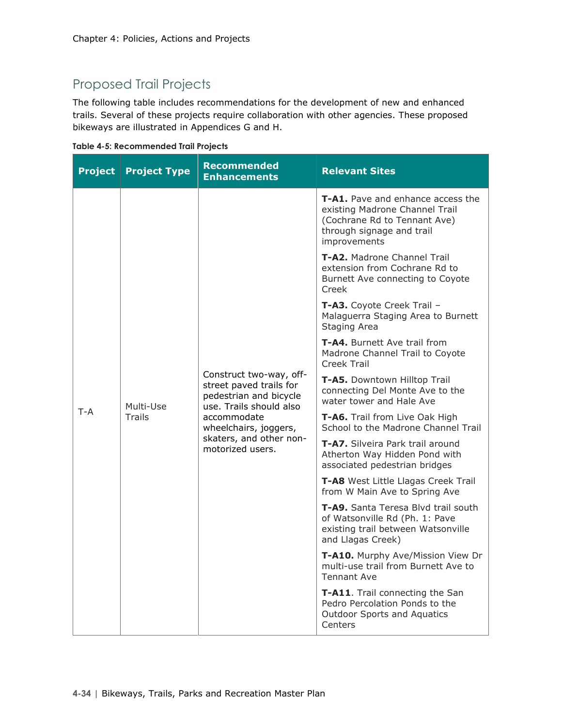### Proposed Trail Projects

The following table includes recommendations for the development of new and enhanced trails. Several of these projects require collaboration with other agencies. These proposed bikeways are illustrated in Appendices G and H.

|  |  | <b>Table 4-5: Recommended Trail Projects</b> |  |  |
|--|--|----------------------------------------------|--|--|
|--|--|----------------------------------------------|--|--|

| <b>Project</b> | <b>Project Type</b>        | <b>Recommended</b><br><b>Enhancements</b>                                                                                                                                                      | <b>Relevant Sites</b>                                                                                                                                   |
|----------------|----------------------------|------------------------------------------------------------------------------------------------------------------------------------------------------------------------------------------------|---------------------------------------------------------------------------------------------------------------------------------------------------------|
|                | Multi-Use<br><b>Trails</b> | Construct two-way, off-<br>street paved trails for<br>pedestrian and bicycle<br>use. Trails should also<br>accommodate<br>wheelchairs, joggers,<br>skaters, and other non-<br>motorized users. | <b>T-A1.</b> Pave and enhance access the<br>existing Madrone Channel Trail<br>(Cochrane Rd to Tennant Ave)<br>through signage and trail<br>improvements |
|                |                            |                                                                                                                                                                                                | T-A2. Madrone Channel Trail<br>extension from Cochrane Rd to<br>Burnett Ave connecting to Coyote<br>Creek                                               |
|                |                            |                                                                                                                                                                                                | T-A3. Coyote Creek Trail -<br>Malaguerra Staging Area to Burnett<br>Staging Area                                                                        |
|                |                            |                                                                                                                                                                                                | <b>T-A4.</b> Burnett Ave trail from<br>Madrone Channel Trail to Coyote<br><b>Creek Trail</b>                                                            |
|                |                            |                                                                                                                                                                                                | T-A5. Downtown Hilltop Trail<br>connecting Del Monte Ave to the<br>water tower and Hale Ave                                                             |
| $T - A$        |                            |                                                                                                                                                                                                | T-A6. Trail from Live Oak High<br>School to the Madrone Channel Trail                                                                                   |
|                |                            |                                                                                                                                                                                                | T-A7. Silveira Park trail around<br>Atherton Way Hidden Pond with<br>associated pedestrian bridges                                                      |
|                |                            |                                                                                                                                                                                                | T-A8 West Little Llagas Creek Trail<br>from W Main Ave to Spring Ave                                                                                    |
|                |                            |                                                                                                                                                                                                | T-A9. Santa Teresa Blvd trail south<br>of Watsonville Rd (Ph. 1: Pave<br>existing trail between Watsonville<br>and Llagas Creek)                        |
|                |                            |                                                                                                                                                                                                | T-A10. Murphy Ave/Mission View Dr<br>multi-use trail from Burnett Ave to<br><b>Tennant Ave</b>                                                          |
|                |                            |                                                                                                                                                                                                | T-A11. Trail connecting the San<br>Pedro Percolation Ponds to the<br><b>Outdoor Sports and Aquatics</b><br>Centers                                      |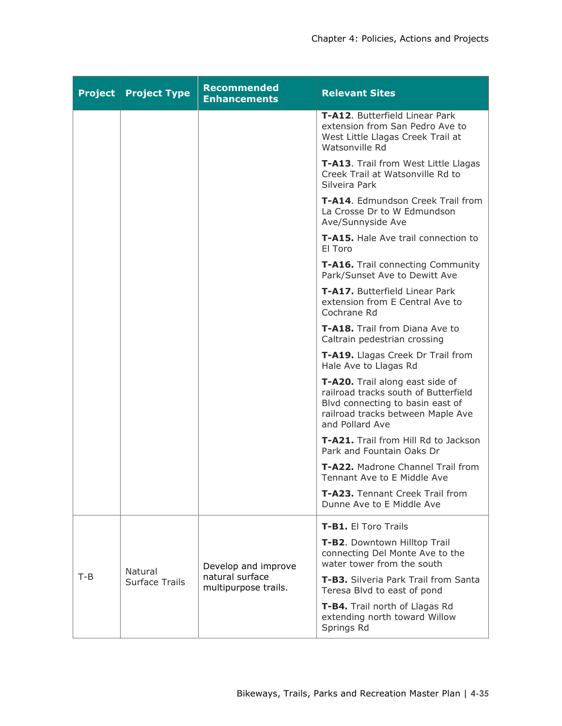| <b>Project</b> | <b>Project Type</b>              | <b>Recommended</b><br><b>Enhancements</b>                      | <b>Relevant Sites</b>                                                                                                                                               |
|----------------|----------------------------------|----------------------------------------------------------------|---------------------------------------------------------------------------------------------------------------------------------------------------------------------|
|                |                                  |                                                                | T-A12. Butterfield Linear Park<br>extension from San Pedro Ave to<br>West Little Llagas Creek Trail at<br>Watsonville Rd                                            |
|                |                                  |                                                                | T-A13. Trail from West Little Llagas<br>Creek Trail at Watsonville Rd to<br>Silveira Park                                                                           |
|                |                                  |                                                                | T-A14. Edmundson Creek Trail from<br>La Crosse Dr to W Edmundson<br>Ave/Sunnyside Ave                                                                               |
|                |                                  |                                                                | <b>T-A15.</b> Hale Ave trail connection to<br>El Toro                                                                                                               |
|                |                                  |                                                                | T-A16. Trail connecting Community<br>Park/Sunset Ave to Dewitt Ave                                                                                                  |
|                |                                  |                                                                | <b>T-A17.</b> Butterfield Linear Park<br>extension from E Central Ave to<br>Cochrane Rd                                                                             |
|                |                                  |                                                                | <b>T-A18.</b> Trail from Diana Ave to<br>Caltrain pedestrian crossing                                                                                               |
|                |                                  |                                                                | T-A19. Llagas Creek Dr Trail from<br>Hale Ave to Llagas Rd                                                                                                          |
|                |                                  |                                                                | T-A20. Trail along east side of<br>railroad tracks south of Butterfield<br>Blvd connecting to basin east of<br>railroad tracks between Maple Ave<br>and Pollard Ave |
|                |                                  |                                                                | <b>T-A21.</b> Trail from Hill Rd to Jackson<br>Park and Fountain Oaks Dr                                                                                            |
|                |                                  |                                                                | T-A22. Madrone Channel Trail from<br>Tennant Ave to E Middle Ave                                                                                                    |
|                |                                  |                                                                | T-A23. Tennant Creek Trail from<br>Dunne Ave to E Middle Ave                                                                                                        |
|                |                                  |                                                                | <b>T-B1.</b> El Toro Trails                                                                                                                                         |
| $T-B$          | Natural<br><b>Surface Trails</b> | Develop and improve<br>natural surface<br>multipurpose trails. | T-B2. Downtown Hilltop Trail<br>connecting Del Monte Ave to the<br>water tower from the south                                                                       |
|                |                                  |                                                                | T-B3. Silveria Park Trail from Santa<br>Teresa Blvd to east of pond                                                                                                 |
|                |                                  |                                                                | T-B4. Trail north of Llagas Rd<br>extending north toward Willow<br>Springs Rd                                                                                       |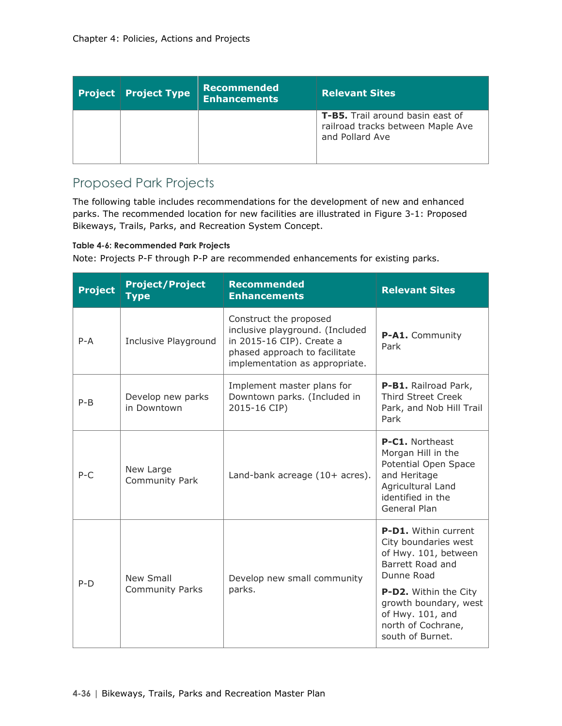| <b>Project Project Type</b> | Recommended<br><b>Enhancements</b> | <b>Relevant Sites</b>                                                                    |
|-----------------------------|------------------------------------|------------------------------------------------------------------------------------------|
|                             |                                    | T-B5. Trail around basin east of<br>railroad tracks between Maple Ave<br>and Pollard Ave |

### Proposed Park Projects

The following table includes recommendations for the development of new and enhanced parks. The recommended location for new facilities are illustrated in Figure 3-1: Proposed Bikeways, Trails, Parks, and Recreation System Concept.

**Table 4-6: Recommended Park Projects** 

Note: Projects P-F through P-P are recommended enhancements for existing parks.

| <b>Project</b> | <b>Project/Project</b><br><b>Type</b> | <b>Recommended</b><br><b>Enhancements</b>                                                                                                                 | <b>Relevant Sites</b>                                                                                                                   |  |
|----------------|---------------------------------------|-----------------------------------------------------------------------------------------------------------------------------------------------------------|-----------------------------------------------------------------------------------------------------------------------------------------|--|
| $P - A$        | Inclusive Playground                  | Construct the proposed<br>inclusive playground. (Included<br>in 2015-16 CIP). Create a<br>phased approach to facilitate<br>implementation as appropriate. | P-A1. Community<br>Park                                                                                                                 |  |
| $P - B$        | Develop new parks<br>in Downtown      | Implement master plans for<br>Downtown parks. (Included in<br>2015-16 CIP)                                                                                | P-B1. Railroad Park,<br><b>Third Street Creek</b><br>Park, and Nob Hill Trail<br>Park                                                   |  |
| $P-C$          | New Large<br><b>Community Park</b>    | Land-bank acreage $(10+$ acres).                                                                                                                          | P-C1. Northeast<br>Morgan Hill in the<br>Potential Open Space<br>and Heritage<br>Agricultural Land<br>identified in the<br>General Plan |  |
| $P-D$          | <b>New Small</b>                      | Develop new small community                                                                                                                               | <b>P-D1.</b> Within current<br>City boundaries west<br>of Hwy. 101, between<br>Barrett Road and<br>Dunne Road                           |  |
|                | Community Parks                       | parks.                                                                                                                                                    | P-D2. Within the City<br>growth boundary, west<br>of Hwy. 101, and<br>north of Cochrane,<br>south of Burnet.                            |  |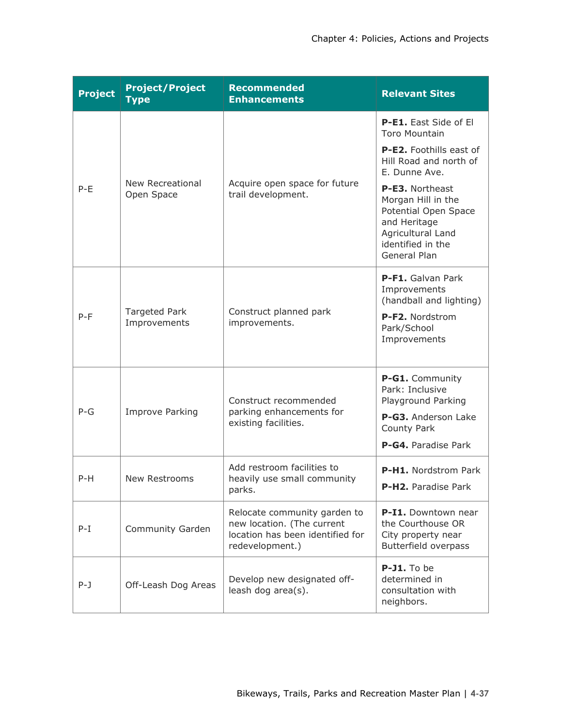| <b>Project</b> | <b>Project/Project</b><br><b>Type</b> | <b>Recommended</b><br><b>Enhancements</b>                                                                         | <b>Relevant Sites</b>                                                                                                                   |
|----------------|---------------------------------------|-------------------------------------------------------------------------------------------------------------------|-----------------------------------------------------------------------------------------------------------------------------------------|
|                |                                       |                                                                                                                   | P-E1. East Side of El<br><b>Toro Mountain</b><br>P-E2. Foothills east of                                                                |
|                |                                       |                                                                                                                   | Hill Road and north of<br>E. Dunne Ave.                                                                                                 |
| $P-E$          | <b>New Recreational</b><br>Open Space | Acquire open space for future<br>trail development.                                                               | P-E3. Northeast<br>Morgan Hill in the<br>Potential Open Space<br>and Heritage<br>Agricultural Land<br>identified in the<br>General Plan |
|                |                                       |                                                                                                                   | P-F1. Galvan Park<br>Improvements<br>(handball and lighting)                                                                            |
| $P-F$          | <b>Targeted Park</b><br>Improvements  | Construct planned park<br>improvements.                                                                           | P-F2. Nordstrom<br>Park/School<br>Improvements                                                                                          |
|                | <b>Improve Parking</b>                | Construct recommended                                                                                             | P-G1. Community<br>Park: Inclusive<br>Playground Parking                                                                                |
| $P-G$          |                                       | parking enhancements for<br>existing facilities.                                                                  | P-G3. Anderson Lake<br>County Park<br>P-G4. Paradise Park                                                                               |
|                |                                       | Add restroom facilities to                                                                                        |                                                                                                                                         |
| $P-H$          | New Restrooms                         | heavily use small community<br>parks.                                                                             | P-H1. Nordstrom Park<br>P-H2. Paradise Park                                                                                             |
| $P-I$          | Community Garden                      | Relocate community garden to<br>new location. (The current<br>location has been identified for<br>redevelopment.) | P-I1. Downtown near<br>the Courthouse OR<br>City property near<br><b>Butterfield overpass</b>                                           |
| P-J            | Off-Leash Dog Areas                   | Develop new designated off-<br>leash dog area(s).                                                                 | P-J1. To be<br>determined in<br>consultation with<br>neighbors.                                                                         |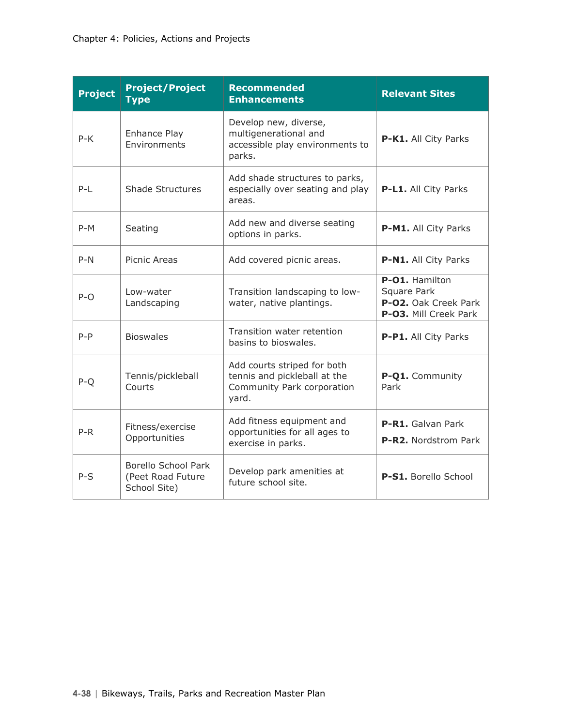| <b>Project</b> | <b>Project/Project</b><br><b>Type</b>                           | <b>Recommended</b><br><b>Enhancements</b>                                                          | <b>Relevant Sites</b>                                                          |  |
|----------------|-----------------------------------------------------------------|----------------------------------------------------------------------------------------------------|--------------------------------------------------------------------------------|--|
| $P-K$          | Enhance Play<br>Environments                                    | Develop new, diverse,<br>multigenerational and<br>accessible play environments to<br>parks.        | P-K1. All City Parks                                                           |  |
| $P-L$          | <b>Shade Structures</b>                                         | Add shade structures to parks,<br>especially over seating and play<br>areas.                       | P-L1. All City Parks                                                           |  |
| $P-M$          | Seating                                                         | Add new and diverse seating<br>options in parks.                                                   | P-M1. All City Parks                                                           |  |
| $P-N$          | Picnic Areas                                                    | Add covered picnic areas.                                                                          | P-N1. All City Parks                                                           |  |
| $P-O$          | Low-water<br>Landscaping                                        | Transition landscaping to low-<br>water, native plantings.                                         | P-01. Hamilton<br>Square Park<br>P-O2. Oak Creek Park<br>P-O3. Mill Creek Park |  |
| $P - P$        | <b>Bioswales</b>                                                | Transition water retention<br>basins to bioswales.                                                 | P-P1. All City Parks                                                           |  |
| $P-Q$          | Tennis/pickleball<br>Courts                                     | Add courts striped for both<br>tennis and pickleball at the<br>Community Park corporation<br>yard. | P-Q1. Community<br>Park                                                        |  |
| $P-R$          | Fitness/exercise<br>Opportunities                               | Add fitness equipment and<br>opportunities for all ages to<br>exercise in parks.                   | P-R1. Galvan Park<br><b>P-R2.</b> Nordstrom Park                               |  |
| $P-S$          | <b>Borello School Park</b><br>(Peet Road Future<br>School Site) | Develop park amenities at<br>future school site.                                                   | P-S1. Borello School                                                           |  |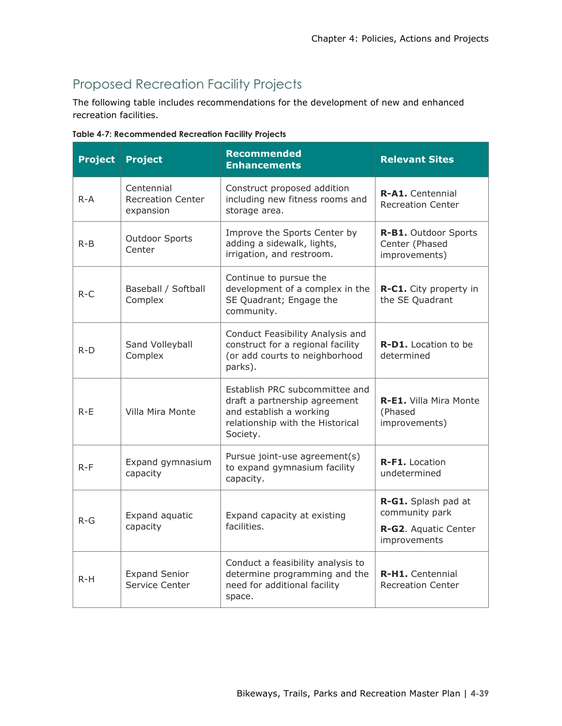# Proposed Recreation Facility Projects

The following table includes recommendations for the development of new and enhanced recreation facilities.

**Table 4-7: Recommended Recreation Facility Projects** 

| <b>Project</b> | <b>Project</b>                                      | <b>Recommended</b><br><b>Enhancements</b>                                                                                                  | <b>Relevant Sites</b>                                                         |
|----------------|-----------------------------------------------------|--------------------------------------------------------------------------------------------------------------------------------------------|-------------------------------------------------------------------------------|
| $R - A$        | Centennial<br><b>Recreation Center</b><br>expansion | Construct proposed addition<br>including new fitness rooms and<br>storage area.                                                            | <b>R-A1.</b> Centennial<br><b>Recreation Center</b>                           |
| $R - B$        | <b>Outdoor Sports</b><br>Center                     | Improve the Sports Center by<br>adding a sidewalk, lights,<br>irrigation, and restroom.                                                    | R-B1. Outdoor Sports<br>Center (Phased<br>improvements)                       |
| $R-C$          | Baseball / Softball<br>Complex                      | Continue to pursue the<br>development of a complex in the<br>SE Quadrant; Engage the<br>community.                                         | R-C1. City property in<br>the SE Quadrant                                     |
| $R-D$          | Sand Volleyball<br>Complex                          | Conduct Feasibility Analysis and<br>construct for a regional facility<br>(or add courts to neighborhood<br>parks).                         | <b>R-D1.</b> Location to be<br>determined                                     |
| $R-F$          | Villa Mira Monte                                    | Establish PRC subcommittee and<br>draft a partnership agreement<br>and establish a working<br>relationship with the Historical<br>Society. | R-E1. Villa Mira Monte<br>(Phased<br>improvements)                            |
| $R-F$          | Expand gymnasium<br>capacity                        | Pursue joint-use agreement(s)<br>to expand gymnasium facility<br>capacity.                                                                 | R-F1. Location<br>undetermined                                                |
| $R-G$          | Expand aquatic<br>capacity                          | Expand capacity at existing<br>facilities.                                                                                                 | R-G1. Splash pad at<br>community park<br>R-G2. Aquatic Center<br>improvements |
| $R-H$          | <b>Expand Senior</b><br>Service Center              | Conduct a feasibility analysis to<br>determine programming and the<br>need for additional facility<br>space.                               | R-H1. Centennial<br><b>Recreation Center</b>                                  |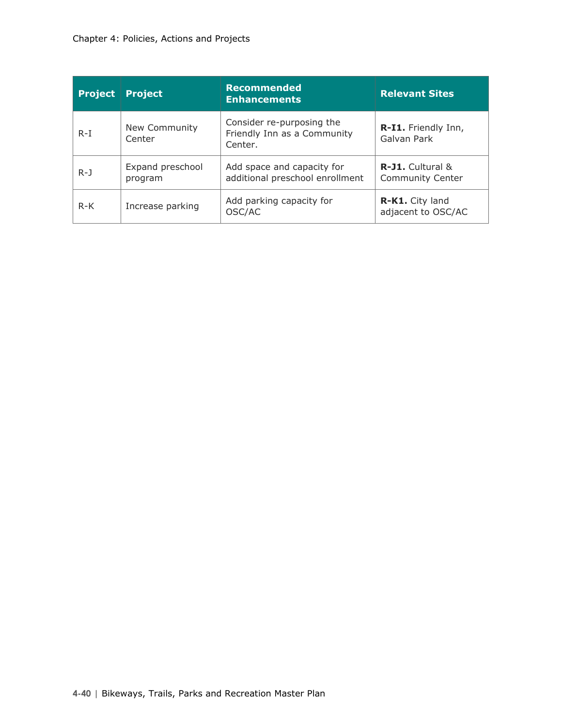| <b>Project</b> | <b>Project</b>              | <b>Recommended</b><br><b>Enhancements</b>                           | <b>Relevant Sites</b>                 |  |
|----------------|-----------------------------|---------------------------------------------------------------------|---------------------------------------|--|
| $R-I$          | New Community<br>Center     | Consider re-purposing the<br>Friendly Inn as a Community<br>Center. | R-I1. Friendly Inn,<br>Galvan Park    |  |
| $R - J$        | Expand preschool<br>program | Add space and capacity for<br>additional preschool enrollment       |                                       |  |
| $R-K$          | Increase parking            | Add parking capacity for<br>OSC/AC                                  | R-K1. City land<br>adjacent to OSC/AC |  |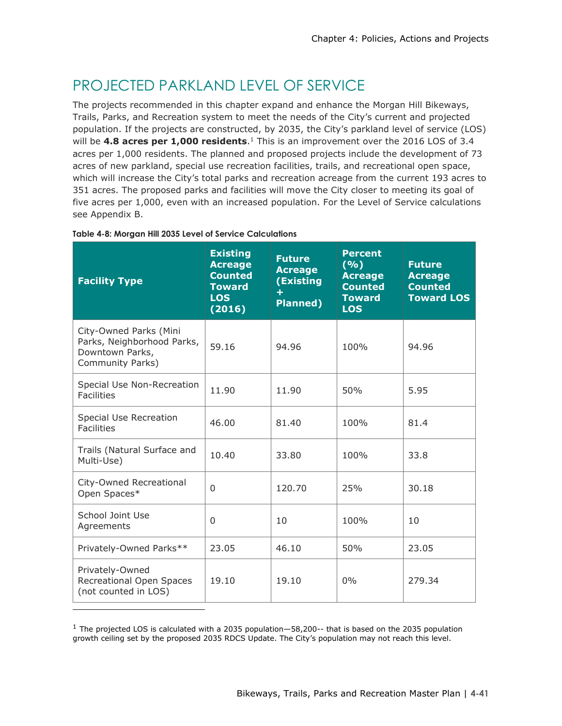# PROJECTED PARKLAND LEVEL OF SERVICE

The projects recommended in this chapter expand and enhance the Morgan Hill Bikeways, Trails, Parks, and Recreation system to meet the needs of the City's current and projected population. If the projects are constructed, by 2035, the City's parkland level of service (LOS) will be **4.8 acres per 1,000 residents**. <sup>1</sup> This is an improvement over the 2016 LOS of 3.4 acres per 1,000 residents. The planned and proposed projects include the development of 73 acres of new parkland, special use recreation facilities, trails, and recreational open space, which will increase the City's total parks and recreation acreage from the current 193 acres to 351 acres. The proposed parks and facilities will move the City closer to meeting its goal of five acres per 1,000, even with an increased population. For the Level of Service calculations see Appendix B.

| <b>Facility Type</b>                                                                        | <b>Existing</b><br><b>Acreage</b><br><b>Counted</b><br><b>Toward</b><br><b>LOS</b><br>(2016) | <b>Future</b><br><b>Acreage</b><br>(Existing<br>$+$<br><b>Planned)</b> | <b>Percent</b><br>$(\overline{\frac{9}{6}})$<br><b>Acreage</b><br><b>Counted</b><br><b>Toward</b><br><b>LOS</b> | <b>Future</b><br><b>Acreage</b><br><b>Counted</b><br><b>Toward LOS</b> |
|---------------------------------------------------------------------------------------------|----------------------------------------------------------------------------------------------|------------------------------------------------------------------------|-----------------------------------------------------------------------------------------------------------------|------------------------------------------------------------------------|
| City-Owned Parks (Mini<br>Parks, Neighborhood Parks,<br>Downtown Parks,<br>Community Parks) | 59.16                                                                                        | 94.96                                                                  | 100%                                                                                                            | 94.96                                                                  |
| Special Use Non-Recreation<br><b>Facilities</b>                                             | 11.90                                                                                        | 11.90                                                                  | 50%                                                                                                             | 5.95                                                                   |
| Special Use Recreation<br><b>Facilities</b>                                                 | 46.00                                                                                        | 81.40                                                                  | 100%                                                                                                            | 81.4                                                                   |
| Trails (Natural Surface and<br>Multi-Use)                                                   | 10.40                                                                                        | 33.80                                                                  | 100%                                                                                                            | 33.8                                                                   |
| City-Owned Recreational<br>Open Spaces*                                                     | $\Omega$                                                                                     | 120.70                                                                 | 25%                                                                                                             | 30.18                                                                  |
| School Joint Use<br>Agreements                                                              | $\Omega$                                                                                     | 10                                                                     | 100%                                                                                                            | 10                                                                     |
| Privately-Owned Parks**                                                                     | 23.05                                                                                        | 46.10                                                                  | 50%                                                                                                             | 23.05                                                                  |
| Privately-Owned<br>Recreational Open Spaces<br>(not counted in LOS)                         | 19.10                                                                                        | 19.10                                                                  | 0%                                                                                                              | 279.34                                                                 |

### **Table 4-8: Morgan Hill 2035 Level of Service Calculations**

 $1$  The projected LOS is calculated with a 2035 population—58,200-- that is based on the 2035 population growth ceiling set by the proposed 2035 RDCS Update. The City's population may not reach this level.